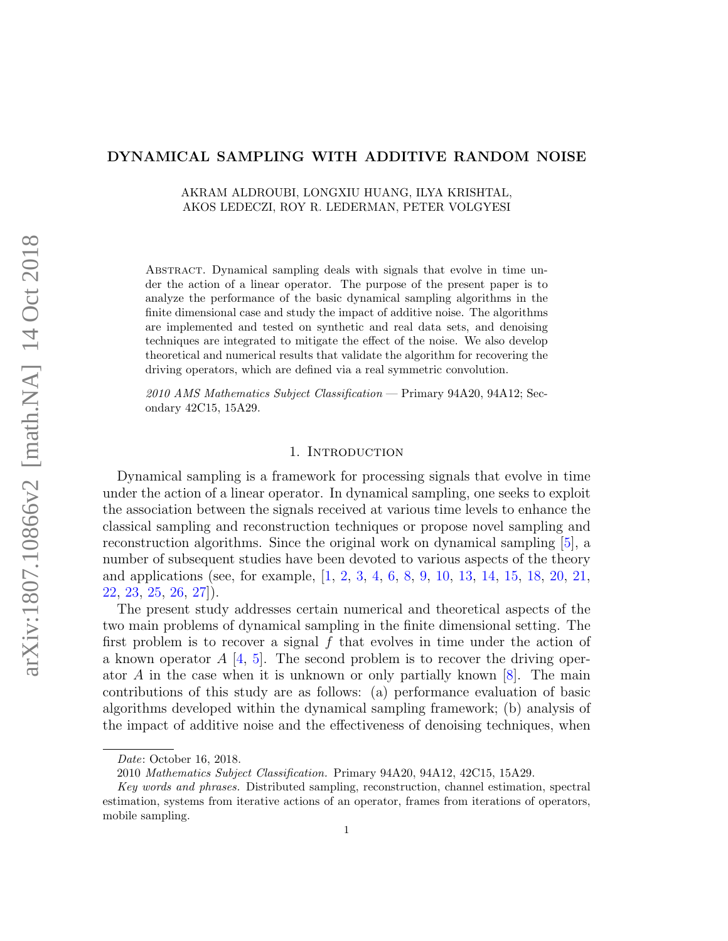# DYNAMICAL SAMPLING WITH ADDITIVE RANDOM NOISE

AKRAM ALDROUBI, LONGXIU HUANG, ILYA KRISHTAL, AKOS LEDECZI, ROY R. LEDERMAN, PETER VOLGYESI

Abstract. Dynamical sampling deals with signals that evolve in time under the action of a linear operator. The purpose of the present paper is to analyze the performance of the basic dynamical sampling algorithms in the finite dimensional case and study the impact of additive noise. The algorithms are implemented and tested on synthetic and real data sets, and denoising techniques are integrated to mitigate the effect of the noise. We also develop theoretical and numerical results that validate the algorithm for recovering the driving operators, which are defined via a real symmetric convolution.

2010 AMS Mathematics Subject Classification — Primary 94A20, 94A12; Secondary 42C15, 15A29.

# 1. INTRODUCTION

Dynamical sampling is a framework for processing signals that evolve in time under the action of a linear operator. In dynamical sampling, one seeks to exploit the association between the signals received at various time levels to enhance the classical sampling and reconstruction techniques or propose novel sampling and reconstruction algorithms. Since the original work on dynamical sampling [\[5\]](#page-27-0), a number of subsequent studies have been devoted to various aspects of the theory and applications (see, for example, [\[1,](#page-27-1) [2,](#page-27-2) [3,](#page-27-3) [4,](#page-27-4) [6,](#page-27-5) [8,](#page-27-6) [9,](#page-27-7) [10,](#page-27-8) [13,](#page-27-9) [14,](#page-27-10) [15,](#page-27-11) [18,](#page-28-0) [20,](#page-28-1) [21,](#page-28-2) [22,](#page-28-3) [23,](#page-28-4) [25,](#page-28-5) [26,](#page-28-6) [27\]](#page-28-7)).

The present study addresses certain numerical and theoretical aspects of the two main problems of dynamical sampling in the finite dimensional setting. The first problem is to recover a signal f that evolves in time under the action of a known operator  $A \, [4, 5]$  $A \, [4, 5]$  $A \, [4, 5]$  $A \, [4, 5]$ . The second problem is to recover the driving operator A in the case when it is unknown or only partially known  $[8]$ . The main contributions of this study are as follows: (a) performance evaluation of basic algorithms developed within the dynamical sampling framework; (b) analysis of the impact of additive noise and the effectiveness of denoising techniques, when

Date: October 16, 2018.

<sup>2010</sup> Mathematics Subject Classification. Primary 94A20, 94A12, 42C15, 15A29.

Key words and phrases. Distributed sampling, reconstruction, channel estimation, spectral estimation, systems from iterative actions of an operator, frames from iterations of operators, mobile sampling.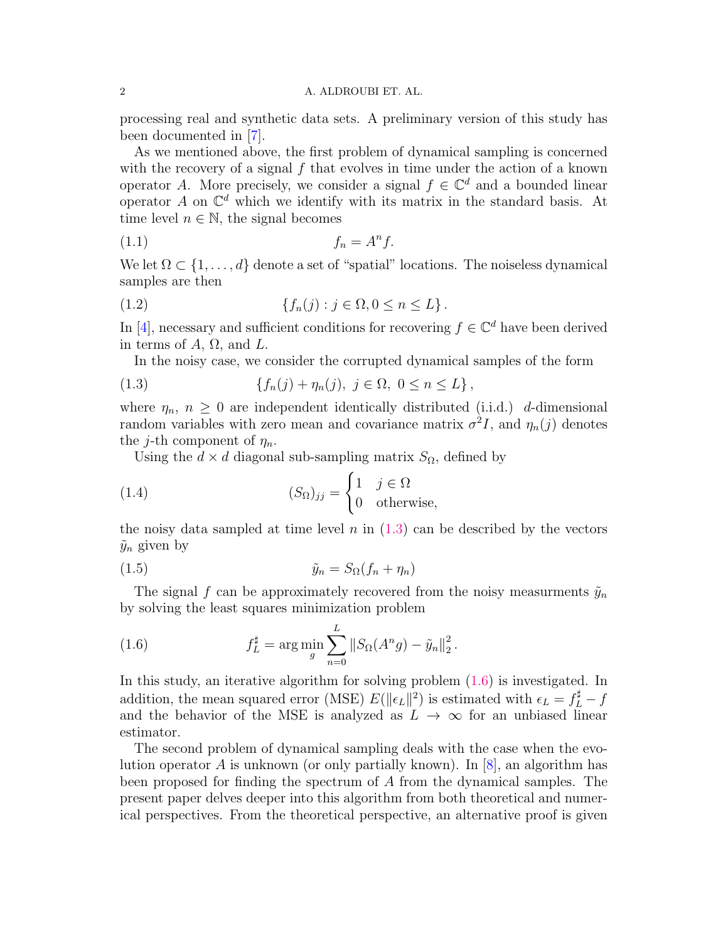processing real and synthetic data sets. A preliminary version of this study has been documented in [\[7\]](#page-27-12).

As we mentioned above, the first problem of dynamical sampling is concerned with the recovery of a signal  $f$  that evolves in time under the action of a known operator A. More precisely, we consider a signal  $f \in \mathbb{C}^d$  and a bounded linear operator A on  $\mathbb{C}^d$  which we identify with its matrix in the standard basis. At time level  $n \in \mathbb{N}$ , the signal becomes

<span id="page-1-2"></span>
$$
(1.1) \t\t f_n = A^n f.
$$

We let  $\Omega \subset \{1, \ldots, d\}$  denote a set of "spatial" locations. The noiseless dynamical samples are then

(1.2) 
$$
\{f_n(j) : j \in \Omega, 0 \le n \le L\}.
$$

In [\[4\]](#page-27-4), necessary and sufficient conditions for recovering  $f \in \mathbb{C}^d$  have been derived in terms of  $A$ ,  $\Omega$ , and  $L$ .

<span id="page-1-0"></span>In the noisy case, we consider the corrupted dynamical samples of the form

(1.3) 
$$
\{f_n(j) + \eta_n(j), \ j \in \Omega, \ 0 \le n \le L\},
$$

where  $\eta_n$ ,  $n \geq 0$  are independent identically distributed (i.i.d.) d-dimensional random variables with zero mean and covariance matrix  $\sigma^2 I$ , and  $\eta_n(j)$  denotes the *j*-th component of  $\eta_n$ .

Using the  $d \times d$  diagonal sub-sampling matrix  $S_{\Omega}$ , defined by

(1.4) 
$$
(S_{\Omega})_{jj} = \begin{cases} 1 & j \in \Omega \\ 0 & \text{otherwise,} \end{cases}
$$

the noisy data sampled at time level n in  $(1.3)$  can be described by the vectors  $\tilde{y}_n$  given by

$$
(1.5) \t\t\t\t\t\tilde{y}_n = S_{\Omega}(f_n + \eta_n)
$$

The signal f can be approximately recovered from the noisy measurments  $\tilde{y}_n$ by solving the least squares minimization problem

<span id="page-1-1"></span>(1.6) 
$$
f_L^{\sharp} = \arg \min_{g} \sum_{n=0}^{L} ||S_{\Omega}(A^n g) - \tilde{y}_n||_2^2.
$$

In this study, an iterative algorithm for solving problem [\(1.6\)](#page-1-1) is investigated. In addition, the mean squared error (MSE)  $E(\|\epsilon_L\|^2)$  is estimated with  $\epsilon_L = f_L^{\sharp} - f_L^{\sharp}$ and the behavior of the MSE is analyzed as  $L \to \infty$  for an unbiased linear estimator.

The second problem of dynamical sampling deals with the case when the evolution operator A is unknown (or only partially known). In  $[8]$ , an algorithm has been proposed for finding the spectrum of A from the dynamical samples. The present paper delves deeper into this algorithm from both theoretical and numerical perspectives. From the theoretical perspective, an alternative proof is given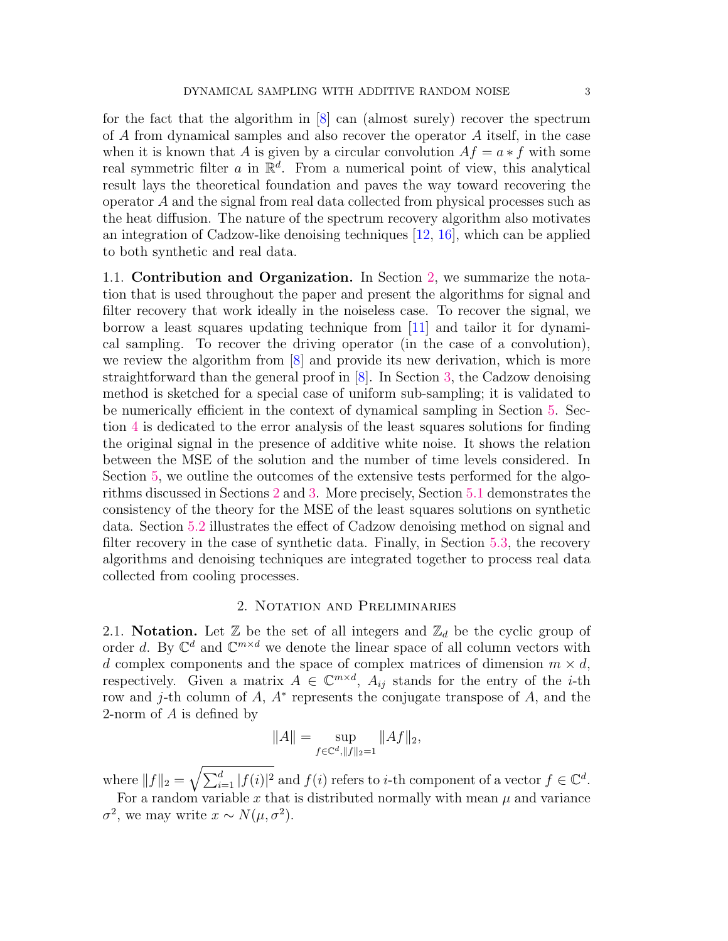for the fact that the algorithm in [\[8\]](#page-27-6) can (almost surely) recover the spectrum of A from dynamical samples and also recover the operator A itself, in the case when it is known that A is given by a circular convolution  $Af = a * f$  with some real symmetric filter a in  $\mathbb{R}^d$ . From a numerical point of view, this analytical result lays the theoretical foundation and paves the way toward recovering the operator A and the signal from real data collected from physical processes such as the heat diffusion. The nature of the spectrum recovery algorithm also motivates an integration of Cadzow-like denoising techniques [\[12,](#page-27-13) [16\]](#page-27-14), which can be applied to both synthetic and real data.

1.1. Contribution and Organization. In Section [2,](#page-2-0) we summarize the notation that is used throughout the paper and present the algorithms for signal and filter recovery that work ideally in the noiseless case. To recover the signal, we borrow a least squares updating technique from [\[11\]](#page-27-15) and tailor it for dynamical sampling. To recover the driving operator (in the case of a convolution), we review the algorithm from [\[8\]](#page-27-6) and provide its new derivation, which is more straightforward than the general proof in [\[8\]](#page-27-6). In Section [3,](#page-6-0) the Cadzow denoising method is sketched for a special case of uniform sub-sampling; it is validated to be numerically efficient in the context of dynamical sampling in Section [5.](#page-10-0) Section [4](#page-8-0) is dedicated to the error analysis of the least squares solutions for finding the original signal in the presence of additive white noise. It shows the relation between the MSE of the solution and the number of time levels considered. In Section [5,](#page-10-0) we outline the outcomes of the extensive tests performed for the algorithms discussed in Sections [2](#page-2-0) and [3.](#page-6-0) More precisely, Section [5.1](#page-10-1) demonstrates the consistency of the theory for the MSE of the least squares solutions on synthetic data. Section [5.2](#page-14-0) illustrates the effect of Cadzow denoising method on signal and filter recovery in the case of synthetic data. Finally, in Section [5.3,](#page-16-0) the recovery algorithms and denoising techniques are integrated together to process real data collected from cooling processes.

# 2. Notation and Preliminaries

<span id="page-2-0"></span>2.1. Notation. Let  $\mathbb Z$  be the set of all integers and  $\mathbb Z_d$  be the cyclic group of order d. By  $\mathbb{C}^d$  and  $\mathbb{C}^{m \times d}$  we denote the linear space of all column vectors with d complex components and the space of complex matrices of dimension  $m \times d$ , respectively. Given a matrix  $A \in \mathbb{C}^{m \times d}$ ,  $A_{ij}$  stands for the entry of the *i*-th row and j-th column of A, A<sup>∗</sup> represents the conjugate transpose of A, and the 2-norm of A is defined by

$$
||A|| = \sup_{f \in \mathbb{C}^d, ||f||_2 = 1} ||Af||_2,
$$

where  $||f||_2 = \sqrt{\sum_{i=1}^d |f(i)|^2}$  and  $f(i)$  refers to *i*-th component of a vector  $f \in \mathbb{C}^d$ . For a random variable x that is distributed normally with mean  $\mu$  and variance

 $\sigma^2$ , we may write  $x \sim N(\mu, \sigma^2)$ .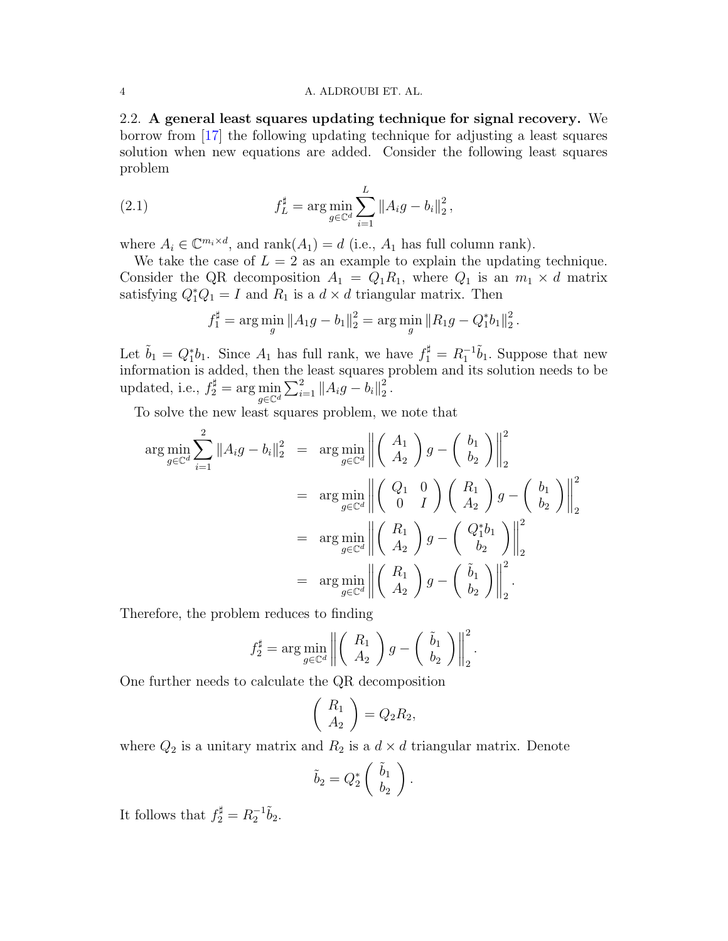2.2. A general least squares updating technique for signal recovery. We borrow from [\[17\]](#page-27-16) the following updating technique for adjusting a least squares solution when new equations are added. Consider the following least squares problem

(2.1) 
$$
f_L^{\sharp} = \arg \min_{g \in \mathbb{C}^d} \sum_{i=1}^L ||A_i g - b_i||_2^2,
$$

where  $A_i \in \mathbb{C}^{m_i \times d}$ , and  $\text{rank}(A_1) = d$  (i.e.,  $A_1$  has full column rank).

We take the case of  $L = 2$  as an example to explain the updating technique. Consider the QR decomposition  $A_1 = Q_1 R_1$ , where  $Q_1$  is an  $m_1 \times d$  matrix satisfying  $Q_1^*Q_1 = I$  and  $R_1$  is a  $d \times d$  triangular matrix. Then

$$
f_1^{\sharp} = \arg\min_{g} \|A_1g - b_1\|_2^2 = \arg\min_{g} \|R_1g - Q_1^*b_1\|_2^2.
$$

Let  $\tilde{b}_1 = Q_1^* b_1$ . Since  $A_1$  has full rank, we have  $f_1^{\sharp} = R_1^{-1} \tilde{b}_1$ . Suppose that new information is added, then the least squares problem and its solution needs to be updated, i.e.,  $f_2^{\sharp} = \arg \min_{g \in \mathbb{C}^d} \sum_{i=1}^2 ||A_i g - b_i||_2^2$  $\frac{2}{2}$  .

To solve the new least squares problem, we note that

$$
\arg\min_{g\in\mathbb{C}^d} \sum_{i=1}^2 \|A_i g - b_i\|_2^2 = \arg\min_{g\in\mathbb{C}^d} \left\| \begin{pmatrix} A_1 \\ A_2 \end{pmatrix} g - \begin{pmatrix} b_1 \\ b_2 \end{pmatrix} \right\|_2^2
$$
  
\n
$$
= \arg\min_{g\in\mathbb{C}^d} \left\| \begin{pmatrix} Q_1 & 0 \\ 0 & I \end{pmatrix} \begin{pmatrix} R_1 \\ A_2 \end{pmatrix} g - \begin{pmatrix} b_1 \\ b_2 \end{pmatrix} \right\|_2^2
$$
  
\n
$$
= \arg\min_{g\in\mathbb{C}^d} \left\| \begin{pmatrix} R_1 \\ A_2 \end{pmatrix} g - \begin{pmatrix} Q_1^* b_1 \\ b_2 \end{pmatrix} \right\|_2^2
$$
  
\n
$$
= \arg\min_{g\in\mathbb{C}^d} \left\| \begin{pmatrix} R_1 \\ A_2 \end{pmatrix} g - \begin{pmatrix} \tilde{b}_1 \\ b_2 \end{pmatrix} \right\|_2^2.
$$

Therefore, the problem reduces to finding

$$
f_2^{\sharp} = \arg\min_{g \in \mathbb{C}^d} \left\| \begin{pmatrix} R_1 \\ A_2 \end{pmatrix} g - \begin{pmatrix} \tilde{b}_1 \\ b_2 \end{pmatrix} \right\|_2^2.
$$

One further needs to calculate the QR decomposition

$$
\left(\begin{array}{c} R_1 \\ A_2 \end{array}\right) = Q_2 R_2,
$$

where  $Q_2$  is a unitary matrix and  $R_2$  is a  $d \times d$  triangular matrix. Denote

$$
\tilde{b}_2 = Q_2^* \left( \begin{array}{c} \tilde{b}_1 \\ b_2 \end{array} \right).
$$

It follows that  $f_2^{\sharp} = R_2^{-1} \tilde{b}_2$ .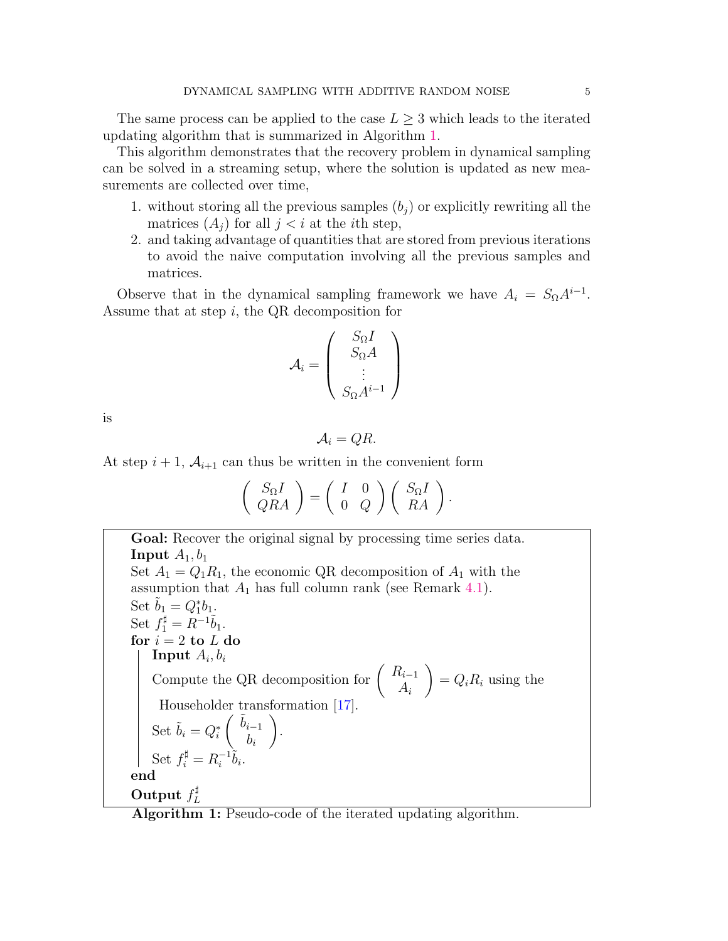The same process can be applied to the case  $L \geq 3$  which leads to the iterated updating algorithm that is summarized in Algorithm [1.](#page-4-0)

This algorithm demonstrates that the recovery problem in dynamical sampling can be solved in a streaming setup, where the solution is updated as new measurements are collected over time,

- 1. without storing all the previous samples  $(b_j)$  or explicitly rewriting all the matrices  $(A_i)$  for all  $j < i$  at the *i*th step,
- 2. and taking advantage of quantities that are stored from previous iterations to avoid the naive computation involving all the previous samples and matrices.

Observe that in the dynamical sampling framework we have  $A_i = S_{\Omega} A^{i-1}$ . Assume that at step  $i$ , the QR decomposition for

$$
A_i = \left(\begin{array}{c} S_{\Omega}I \\ S_{\Omega}A \\ \vdots \\ S_{\Omega}A^{i-1}\end{array}\right)
$$

is

$$
A_i=QR.
$$

At step  $i + 1$ ,  $A_{i+1}$  can thus be written in the convenient form

$$
\left(\begin{array}{c}S_{\Omega}I\\QRA\end{array}\right)=\left(\begin{array}{cc}I&0\\0&Q\end{array}\right)\left(\begin{array}{c}S_{\Omega}I\\RA\end{array}\right).
$$

<span id="page-4-0"></span>Goal: Recover the original signal by processing time series data. Input  $A_1, b_1$ Set  $A_1 = Q_1 R_1$ , the economic QR decomposition of  $A_1$  with the assumption that  $A_1$  has full column rank (see Remark [4.1\)](#page-10-2). Set  $\tilde{b}_1 = Q_1^* b_1$ . Set  $f_1^{\sharp} = R^{-1} \tilde{b}_1$ . for  $i = 2$  to  $L$  do  $\mathbf{Input}\ A_i, b_i$ Compute the QR decomposition for  $\begin{pmatrix} R_{i-1} \\ A \end{pmatrix}$  $A_i$  $\setminus$  $= Q_i R_i$  using the Householder transformation [\[17\]](#page-27-16). Set  $\tilde{b}_i = Q_i^*$  $\int \tilde{b}_{i-1}$  $b_i$  $\setminus$ . Set  $f_i^{\sharp} = R_i^{-1}$  $\bar{i}^{-1}\tilde{b}_i.$ end Output  $f_I^{\sharp}$ L

Algorithm 1: Pseudo-code of the iterated updating algorithm.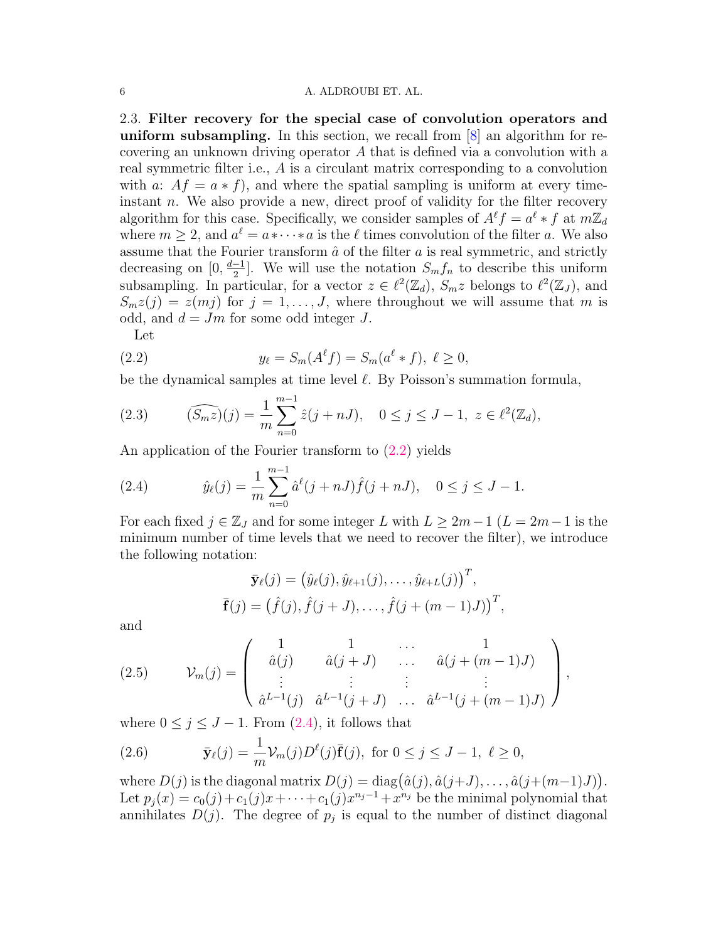<span id="page-5-4"></span>2.3. Filter recovery for the special case of convolution operators and uniform subsampling. In this section, we recall from  $[8]$  an algorithm for recovering an unknown driving operator A that is defined via a convolution with a real symmetric filter i.e., A is a circulant matrix corresponding to a convolution with a:  $Af = a * f$ , and where the spatial sampling is uniform at every timeinstant  $n$ . We also provide a new, direct proof of validity for the filter recovery algorithm for this case. Specifically, we consider samples of  $A^{\ell}f = a^{\ell} * f$  at  $m\mathbb{Z}_d$ where  $m \geq 2$ , and  $a^{\ell} = a * \cdots * a$  is the  $\ell$  times convolution of the filter a. We also assume that the Fourier transform  $\hat{a}$  of the filter  $a$  is real symmetric, and strictly decreasing on [0,  $\frac{d-1}{2}$  $\frac{-1}{2}$ . We will use the notation  $S_m f_n$  to describe this uniform subsampling. In particular, for a vector  $z \in \ell^2(\mathbb{Z}_d)$ ,  $S_m z$  belongs to  $\ell^2(\mathbb{Z}_J)$ , and  $S_mz(j) = z(mj)$  for  $j = 1, \ldots, J$ , where throughout we will assume that m is odd, and  $d = Jm$  for some odd integer J.

<span id="page-5-0"></span>Let

(2.2) 
$$
y_{\ell} = S_m(A^{\ell} f) = S_m(a^{\ell} * f), \ \ell \ge 0,
$$

be the dynamical samples at time level  $\ell$ . By Poisson's summation formula,

(2.3) 
$$
(\widehat{S_m z})(j) = \frac{1}{m} \sum_{n=0}^{m-1} \hat{z}(j+nJ), \quad 0 \le j \le J-1, \ z \in \ell^2(\mathbb{Z}_d),
$$

An application of the Fourier transform to [\(2.2\)](#page-5-0) yields

<span id="page-5-1"></span>(2.4) 
$$
\hat{y}_{\ell}(j) = \frac{1}{m} \sum_{n=0}^{m-1} \hat{a}^{\ell}(j+nJ) \hat{f}(j+nJ), \quad 0 \le j \le J-1.
$$

For each fixed  $j \in \mathbb{Z}_J$  and for some integer L with  $L \geq 2m-1$  ( $L = 2m-1$  is the minimum number of time levels that we need to recover the filter), we introduce the following notation:

$$
\bar{\mathbf{y}}_{\ell}(j) = (\hat{y}_{\ell}(j), \hat{y}_{\ell+1}(j), \dots, \hat{y}_{\ell+L}(j))^{T},
$$
  

$$
\bar{\mathbf{f}}(j) = (\hat{f}(j), \hat{f}(j+J), \dots, \hat{f}(j+(m-1)J))^{T},
$$

and

<span id="page-5-3"></span>(2.5) 
$$
\mathcal{V}_m(j) = \begin{pmatrix} 1 & 1 & \cdots & 1 \\ \hat{a}(j) & \hat{a}(j+J) & \cdots & \hat{a}(j+(m-1)J) \\ \vdots & \vdots & \vdots & \vdots \\ \hat{a}^{L-1}(j) & \hat{a}^{L-1}(j+J) & \cdots & \hat{a}^{L-1}(j+(m-1)J) \end{pmatrix},
$$

where  $0 \leq j \leq J - 1$ . From  $(2.4)$ , it follows that

<span id="page-5-2"></span>(2.6) 
$$
\bar{\mathbf{y}}_{\ell}(j) = \frac{1}{m} \mathcal{V}_m(j) D^{\ell}(j) \bar{\mathbf{f}}(j)
$$
, for  $0 \le j \le J - 1$ ,  $\ell \ge 0$ ,

where  $D(j)$  is the diagonal matrix  $D(j) = \text{diag}(\hat{a}(j), \hat{a}(j+J), \dots, \hat{a}(j+(m-1)J)).$ Let  $p_j(x) = c_0(j) + c_1(j)x + \cdots + c_1(j)x^{n_j-1} + x^{n_j}$  be the minimal polynomial that annihilates  $D(j)$ . The degree of  $p_j$  is equal to the number of distinct diagonal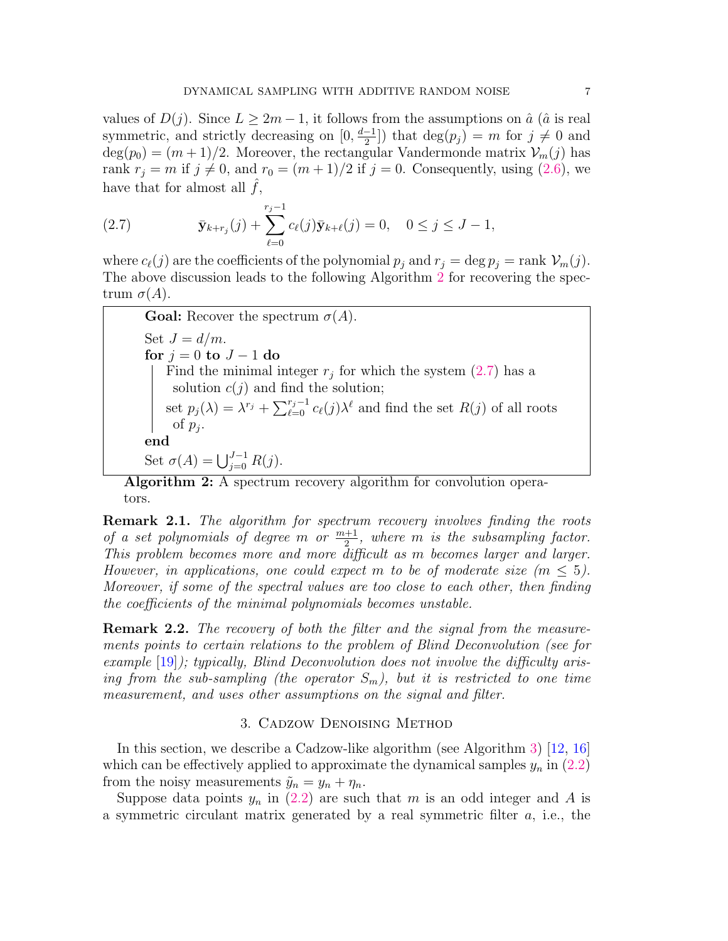values of  $D(j)$ . Since  $L \geq 2m-1$ , it follows from the assumptions on  $\hat{a}$  ( $\hat{a}$  is real symmetric, and strictly decreasing on  $[0, \frac{d-1}{2}]$  $\frac{-1}{2}$ ]) that  $\deg(p_j) = m$  for  $j \neq 0$  and  $deg(p_0) = (m+1)/2$ . Moreover, the rectangular Vandermonde matrix  $\mathcal{V}_m(j)$  has rank  $r_j = m$  if  $j \neq 0$ , and  $r_0 = (m + 1)/2$  if  $j = 0$ . Consequently, using [\(2.6\)](#page-5-2), we have that for almost all  $f$ ,

<span id="page-6-2"></span>(2.7) 
$$
\bar{\mathbf{y}}_{k+r_j}(j) + \sum_{\ell=0}^{r_j-1} c_{\ell}(j) \bar{\mathbf{y}}_{k+\ell}(j) = 0, \quad 0 \le j \le J-1,
$$

where  $c_{\ell}(j)$  are the coefficients of the polynomial  $p_j$  and  $r_j = \deg p_j = \text{rank } \mathcal{V}_m(j)$ . The above discussion leads to the following Algorithm [2](#page-6-1) for recovering the spectrum  $\sigma(A)$ .

<span id="page-6-1"></span>**Goal:** Recover the spectrum  $\sigma(A)$ . Set  $J = d/m$ . for  $j = 0$  to  $J - 1$  do Find the minimal integer  $r_j$  for which the system  $(2.7)$  has a solution  $c(j)$  and find the solution; set  $p_j(\lambda) = \lambda^{r_j} + \sum_{\ell=0}^{r_j-1} c_{\ell}(j)\lambda^{\ell}$  and find the set  $R(j)$  of all roots of  $p_j$ . end Set  $\sigma(A) = \bigcup_{j=0}^{J-1} R(j)$ .

Algorithm 2: A spectrum recovery algorithm for convolution operators.

**Remark 2.1.** The algorithm for spectrum recovery involves finding the roots of a set polynomials of degree m or  $\frac{m+1}{2}$ , where m is the subsampling factor. This problem becomes more and more difficult as m becomes larger and larger. However, in applications, one could expect m to be of moderate size  $(m \leq 5)$ . Moreover, if some of the spectral values are too close to each other, then finding the coefficients of the minimal polynomials becomes unstable.

**Remark 2.2.** The recovery of both the filter and the signal from the measurements points to certain relations to the problem of Blind Deconvolution (see for example  $[19]$ ; typically, Blind Deconvolution does not involve the difficulty arising from the sub-sampling (the operator  $S_m$ ), but it is restricted to one time measurement, and uses other assumptions on the signal and filter.

#### 3. Cadzow Denoising Method

<span id="page-6-0"></span>In this section, we describe a Cadzow-like algorithm (see Algorithm [3\)](#page-7-0) [\[12,](#page-27-13) [16\]](#page-27-14) which can be effectively applied to approximate the dynamical samples  $y_n$  in [\(2.2\)](#page-5-0) from the noisy measurements  $\tilde{y}_n = y_n + \eta_n$ .

Suppose data points  $y_n$  in [\(2.2\)](#page-5-0) are such that m is an odd integer and A is a symmetric circulant matrix generated by a real symmetric filter a, i.e., the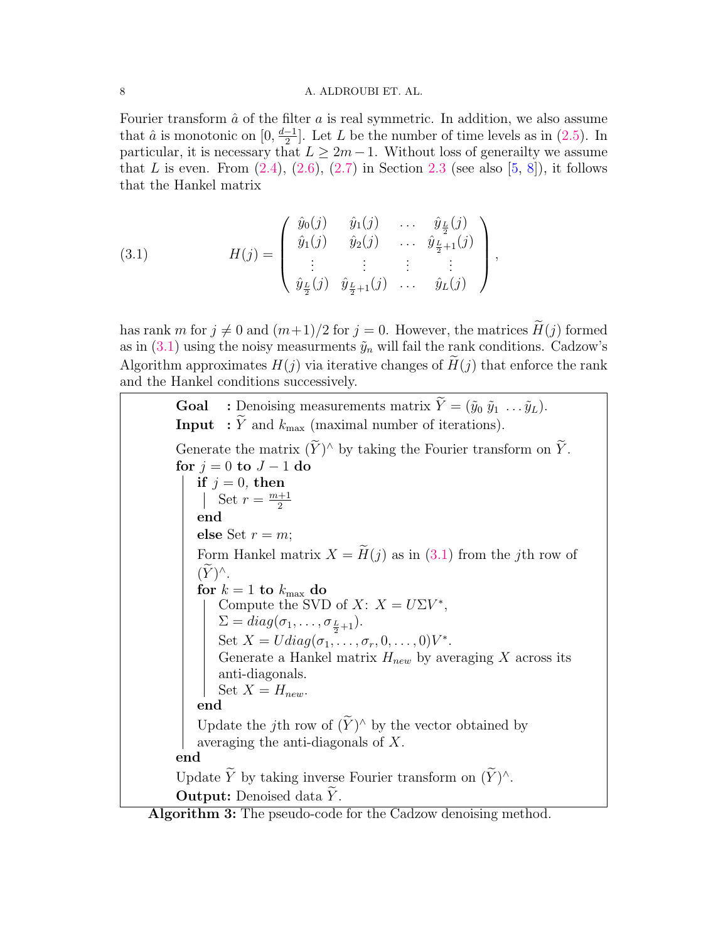Fourier transform  $\hat{a}$  of the filter a is real symmetric. In addition, we also assume that  $\hat{a}$  is monotonic on  $[0, \frac{d-1}{2}]$  $\frac{-1}{2}$ . Let L be the number of time levels as in [\(2.5\)](#page-5-3). In particular, it is necessary that  $L \geq 2m-1$ . Without loss of generally we assume that L is even. From  $(2.4)$ ,  $(2.6)$ ,  $(2.7)$  in Section [2.3](#page-5-4) (see also [\[5,](#page-27-0) [8\]](#page-27-6)), it follows that the Hankel matrix

,

<span id="page-7-1"></span>(3.1) 
$$
H(j) = \begin{pmatrix} \hat{y}_0(j) & \hat{y}_1(j) & \dots & \hat{y}_{\frac{L}{2}}(j) \\ \hat{y}_1(j) & \hat{y}_2(j) & \dots & \hat{y}_{\frac{L}{2}+1}(j) \\ \vdots & \vdots & \vdots & \vdots \\ \hat{y}_{\frac{L}{2}}(j) & \hat{y}_{\frac{L}{2}+1}(j) & \dots & \hat{y}_L(j) \end{pmatrix}
$$

has rank m for  $j \neq 0$  and  $(m+1)/2$  for  $j = 0$ . However, the matrices  $H(j)$  formed as in  $(3.1)$  using the noisy measurments  $\tilde{y}_n$  will fail the rank conditions. Cadzow's Algorithm approximates  $H(j)$  via iterative changes of  $H(j)$  that enforce the rank and the Hankel conditions successively.

<span id="page-7-0"></span>**Goal** : Denoising measurements matrix  $\widetilde{Y} = (\widetilde{y}_0 \ \widetilde{y}_1 \ \dots \ \widetilde{y}_L).$ **Input** :  $\widetilde{Y}$  and  $k_{\text{max}}$  (maximal number of iterations). Generate the matrix  $(Y)^\wedge$  by taking the Fourier transform on  $\widetilde{Y}$ . for  $j = 0$  to  $J - 1$  do if  $j = 0$ , then Set  $r = \frac{m+1}{2}$ 2 end else Set  $r = m$ ; Form Hankel matrix  $X = \widetilde{H}(j)$  as in [\(3.1\)](#page-7-1) from the jth row of  $(\widetilde{Y})^{\wedge}$ . for  $k = 1$  to  $k_{\text{max}}$  do Compute the SVD of  $X: X = U\Sigma V^*$ ,  $\Sigma = diag(\sigma_1, \ldots, \sigma_{\frac{L}{2}+1}).$ Set  $X = Udiag(\sigma_1, \ldots, \sigma_r, 0, \ldots, 0)V^*$ . Generate a Hankel matrix  $H_{new}$  by averaging X across its anti-diagonals. Set  $X = H_{new}$ . end Update the j<sup>th</sup> row of  $(Y)^\wedge$  by the vector obtained by averaging the anti-diagonals of X. end Update Y by taking inverse Fourier transform on  $(\tilde{Y})^{\wedge}$ . **Output:** Denoised data Y.

Algorithm 3: The pseudo-code for the Cadzow denoising method.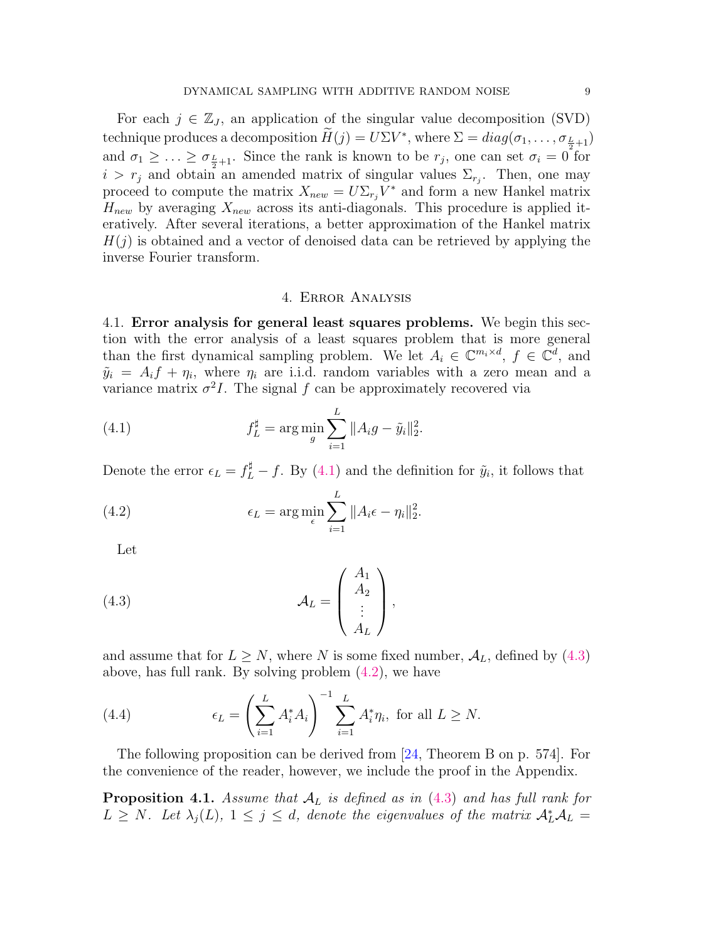For each  $j \in \mathbb{Z}_J$ , an application of the singular value decomposition (SVD) technique produces a decomposition  $H(j) = U\Sigma V^*$ , where  $\Sigma = diag(\sigma_1, \ldots, \sigma_{\frac{L}{2}+1})$ and  $\sigma_1 \geq \ldots \geq \sigma_{\frac{L}{2}+1}$ . Since the rank is known to be  $r_j$ , one can set  $\sigma_i = 0$  for  $i > r_j$  and obtain an amended matrix of singular values  $\Sigma_{r_j}$ . Then, one may proceed to compute the matrix  $X_{new} = U \Sigma_{r_j} V^*$  and form a new Hankel matrix  $H_{new}$  by averaging  $X_{new}$  across its anti-diagonals. This procedure is applied iteratively. After several iterations, a better approximation of the Hankel matrix  $H(j)$  is obtained and a vector of denoised data can be retrieved by applying the inverse Fourier transform.

# <span id="page-8-1"></span>4. Error Analysis

<span id="page-8-0"></span>4.1. Error analysis for general least squares problems. We begin this section with the error analysis of a least squares problem that is more general than the first dynamical sampling problem. We let  $A_i \in \mathbb{C}^{m_i \times d}$ ,  $f \in \mathbb{C}^d$ , and  $\tilde{y}_i = A_i f + \eta_i$ , where  $\eta_i$  are i.i.d. random variables with a zero mean and a variance matrix  $\sigma^2 I$ . The signal f can be approximately recovered via

(4.1) 
$$
f_L^{\sharp} = \arg \min_{g} \sum_{i=1}^{L} ||A_i g - \tilde{y}_i||_2^2.
$$

Denote the error  $\epsilon_L = f_L^{\sharp} - f$ . By [\(4.1\)](#page-8-1) and the definition for  $\tilde{y}_i$ , it follows that

(4.2) 
$$
\epsilon_L = \arg\min_{\epsilon} \sum_{i=1}^L ||A_i \epsilon - \eta_i||_2^2.
$$

<span id="page-8-3"></span><span id="page-8-2"></span>Let

(4.3) 
$$
\mathcal{A}_L = \begin{pmatrix} A_1 \\ A_2 \\ \vdots \\ A_L \end{pmatrix},
$$

and assume that for  $L \geq N$ , where N is some fixed number,  $\mathcal{A}_L$ , defined by [\(4.3\)](#page-8-2) above, has full rank. By solving problem [\(4.2\)](#page-8-3), we have

(4.4) 
$$
\epsilon_L = \left(\sum_{i=1}^L A_i^* A_i\right)^{-1} \sum_{i=1}^L A_i^* \eta_i, \text{ for all } L \geq N.
$$

The following proposition can be derived from [\[24,](#page-28-9) Theorem B on p. 574]. For the convenience of the reader, however, we include the proof in the Appendix.

<span id="page-8-4"></span>**Proposition 4.1.** Assume that  $A_L$  is defined as in [\(4.3\)](#page-8-2) and has full rank for  $L \geq N$ . Let  $\lambda_j(L)$ ,  $1 \leq j \leq d$ , denote the eigenvalues of the matrix  $\mathcal{A}_L^* \mathcal{A}_L =$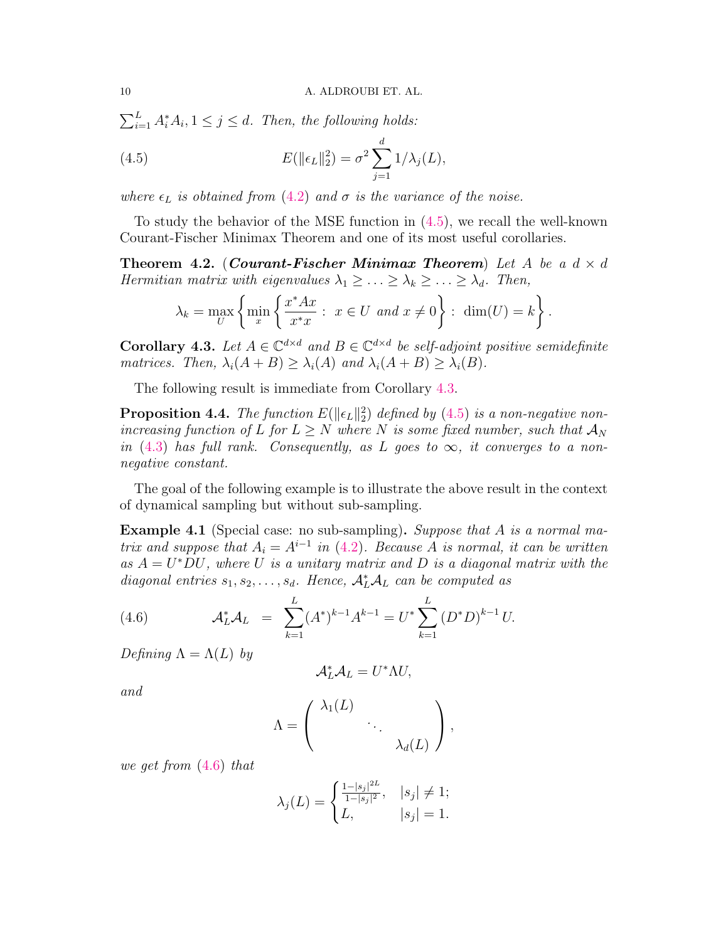$\sum_{i=1}^{L} A_i^* A_i, 1 \leq j \leq d$ . Then, the following holds:

<span id="page-9-0"></span>(4.5) 
$$
E(\|\epsilon_L\|_2^2) = \sigma^2 \sum_{j=1}^d 1/\lambda_j(L),
$$

where  $\epsilon_L$  is obtained from [\(4.2\)](#page-8-3) and  $\sigma$  is the variance of the noise.

To study the behavior of the MSE function in [\(4.5\)](#page-9-0), we recall the well-known Courant-Fischer Minimax Theorem and one of its most useful corollaries.

**Theorem 4.2.** (Courant-Fischer Minimax Theorem) Let A be a  $d \times d$ Hermitian matrix with eigenvalues  $\lambda_1 \geq \ldots \geq \lambda_k \geq \ldots \geq \lambda_d$ . Then,

$$
\lambda_k = \max_U \left\{ \min_x \left\{ \frac{x^* A x}{x^* x} : x \in U \text{ and } x \neq 0 \right\} : \dim(U) = k \right\}.
$$

<span id="page-9-1"></span>**Corollary 4.3.** Let  $A \in \mathbb{C}^{d \times d}$  and  $B \in \mathbb{C}^{d \times d}$  be self-adjoint positive semidefinite matrices. Then,  $\lambda_i(A + B) \geq \lambda_i(A)$  and  $\lambda_i(A + B) \geq \lambda_i(B)$ .

The following result is immediate from Corollary [4.3.](#page-9-1)

<span id="page-9-3"></span>**Proposition 4.4.** The function  $E(\|\epsilon_L\|_2^2)$  defined by [\(4.5\)](#page-9-0) is a non-negative nonincreasing function of L for  $L \geq N$  where N is some fixed number, such that  $\mathcal{A}_N$ in [\(4.3\)](#page-8-2) has full rank. Consequently, as L goes to  $\infty$ , it converges to a nonnegative constant.

The goal of the following example is to illustrate the above result in the context of dynamical sampling but without sub-sampling.

Example 4.1 (Special case: no sub-sampling). Suppose that A is a normal matrix and suppose that  $A_i = A^{i-1}$  in [\(4.2\)](#page-8-3). Because A is normal, it can be written as  $A = U^*DU$ , where U is a unitary matrix and D is a diagonal matrix with the diagonal entries  $s_1, s_2, \ldots, s_d$ . Hence,  $\mathcal{A}_L^* \mathcal{A}_L$  can be computed as

<span id="page-9-2"></span>(4.6) 
$$
\mathcal{A}_L^* \mathcal{A}_L = \sum_{k=1}^L (A^*)^{k-1} A^{k-1} = U^* \sum_{k=1}^L (D^* D)^{k-1} U.
$$

Defining  $\Lambda = \Lambda(L)$  by

$$
\mathcal{A}_L^* \mathcal{A}_L = U^* \Lambda U,
$$

and

$$
\Lambda = \left( \begin{array}{cccc} \lambda_1(L) & & \\ & \ddots & \\ & & \lambda_d(L) \end{array} \right),
$$

we get from [\(4.6\)](#page-9-2) that

$$
\lambda_j(L) = \begin{cases} \frac{1-|s_j|^{2L}}{1-|s_j|^2}, & |s_j| \neq 1; \\ L, & |s_j| = 1. \end{cases}
$$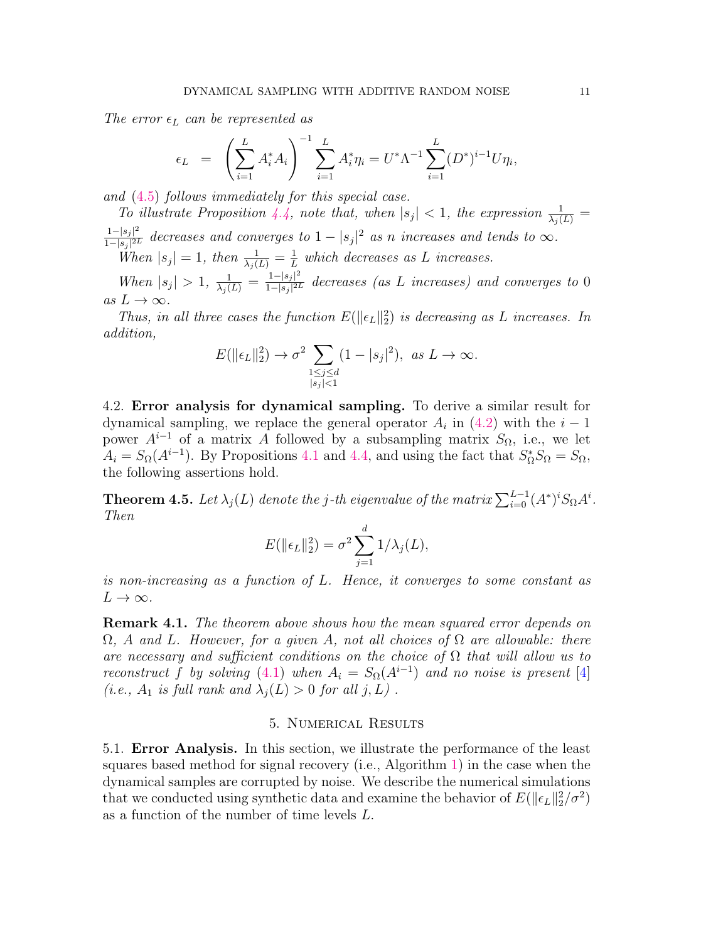The error  $\epsilon_L$  can be represented as

$$
\epsilon_L = \left(\sum_{i=1}^L A_i^* A_i\right)^{-1} \sum_{i=1}^L A_i^* \eta_i = U^* \Lambda^{-1} \sum_{i=1}^L (D^*)^{i-1} U \eta_i,
$$

and [\(4.5\)](#page-9-0) follows immediately for this special case.

To illustrate Proposition [4.4,](#page-9-3) note that, when  $|s_j| < 1$ , the expression  $\frac{1}{\lambda_j(L)}$  $1 - |s_j|^2$  $rac{1-|s_j|^2}{1-|s_j|^{2L}}$  decreases and converges to  $1-|s_j|^2$  as n increases and tends to  $\infty$ .

When  $|s_j|=1$ , then  $\frac{1}{\lambda_j(L)}=\frac{1}{L}$  $\frac{1}{L}$  which decreases as L increases.

When  $|s_j| > 1$ ,  $\frac{1}{\lambda_j(L)} = \frac{1-|s_j|^2}{1-|s_j|^{2l}}$  $\frac{1-|s_j|^2}{1-|s_j|^{2L}}$  decreases (as L increases) and converges to 0 as  $L \to \infty$ .

Thus, in all three cases the function  $E(\|\epsilon_L\|_2^2)$  is decreasing as L increases. In addition,

$$
E(\|\epsilon_L\|_2^2) \to \sigma^2 \sum_{\substack{1 \le j \le d \\ |s_j| < 1}} (1 - |s_j|^2), \ \text{as} \ L \to \infty.
$$

4.2. Error analysis for dynamical sampling. To derive a similar result for dynamical sampling, we replace the general operator  $A_i$  in  $(4.2)$  with the  $i-1$ power  $A^{i-1}$  of a matrix A followed by a subsampling matrix  $S_{\Omega}$ , i.e., we let  $A_i = S_{\Omega}(A^{i-1})$ . By Propositions [4.1](#page-8-4) and [4.4,](#page-9-3) and using the fact that  $S_{\Omega}^* S_{\Omega} = S_{\Omega}$ , the following assertions hold.

<span id="page-10-3"></span>**Theorem 4.5.** Let  $\lambda_j(L)$  denote the j-th eigenvalue of the matrix  $\sum_{i=0}^{L-1}(A^*)^iS_\Omega A^i$ . Then

$$
E(\|\epsilon_L\|_2^2) = \sigma^2 \sum_{j=1}^d 1/\lambda_j(L),
$$

is non-increasing as a function of L. Hence, it converges to some constant as  $L \to \infty$ .

<span id="page-10-2"></span>Remark 4.1. The theorem above shows how the mean squared error depends on  $\Omega$ , A and L. However, for a given A, not all choices of  $\Omega$  are allowable: there are necessary and sufficient conditions on the choice of  $\Omega$  that will allow us to reconstruct f by solving [\(4.1\)](#page-8-1) when  $A_i = S_{\Omega}(A^{i-1})$  and no noise is present [\[4\]](#page-27-4) (i.e.,  $A_1$  is full rank and  $\lambda_i(L) > 0$  for all  $j, L$ ).

#### 5. Numerical Results

<span id="page-10-1"></span><span id="page-10-0"></span>5.1. Error Analysis. In this section, we illustrate the performance of the least squares based method for signal recovery (i.e., Algorithm [1\)](#page-4-0) in the case when the dynamical samples are corrupted by noise. We describe the numerical simulations that we conducted using synthetic data and examine the behavior of  $E(\|\epsilon_L\|_2^2/\sigma^2)$ as a function of the number of time levels L.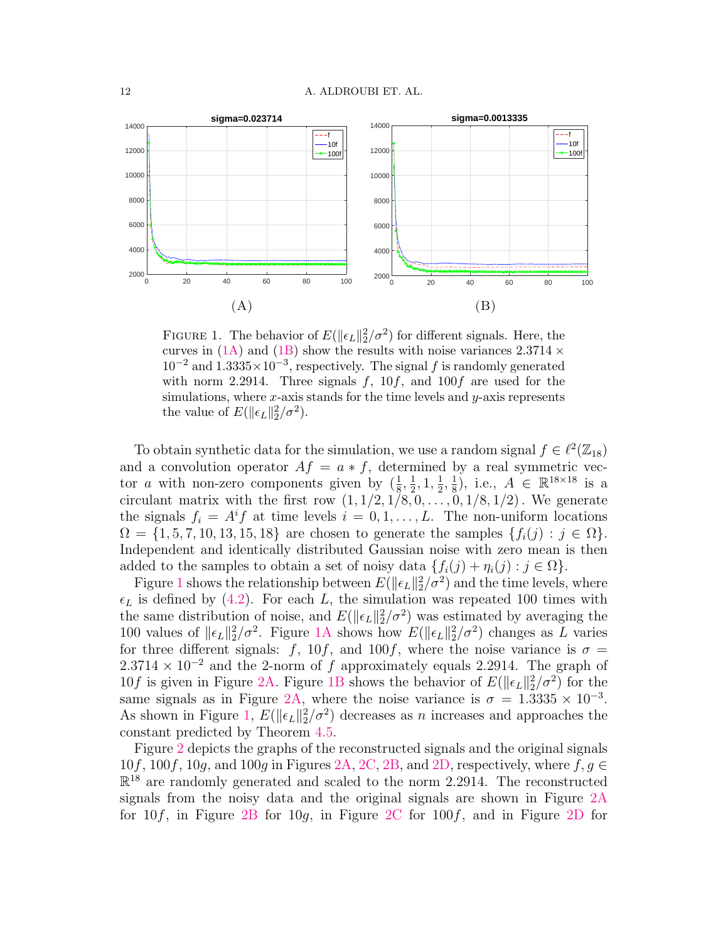<span id="page-11-0"></span>

FIGURE 1. The behavior of  $E(\|\epsilon_L\|_2^2/\sigma^2)$  for different signals. Here, the curves in [\(1A\)](#page-11-0) and [\(1B\)](#page-11-0) show the results with noise variances  $2.3714 \times$  $10^{-2}$  and  $1.3335 \times 10^{-3}$ , respectively. The signal f is randomly generated with norm 2.2914. Three signals  $f$ , 10 $f$ , and 100 $f$  are used for the simulations, where  $x$ -axis stands for the time levels and  $y$ -axis represents the value of  $E(\|\epsilon_L\|_2^2/\sigma^2)$ .

To obtain synthetic data for the simulation, we use a random signal  $f \in \ell^2(\mathbb{Z}_{18})$ and a convolution operator  $Af = a * f$ , determined by a real symmetric vector *a* with non-zero components given by  $(\frac{1}{8}, \frac{1}{2})$  $\frac{1}{2}$ , 1,  $\frac{1}{2}$  $\frac{1}{2}, \frac{1}{8}$  $(\frac{1}{8})$ , i.e.,  $A \in \mathbb{R}^{18 \times 18}$  is a circulant matrix with the first row  $(1, 1/2, 1/8, 0, \ldots, 0, 1/8, 1/2)$ . We generate the signals  $f_i = A^i f$  at time levels  $i = 0, 1, ..., L$ . The non-uniform locations  $\Omega = \{1, 5, 7, 10, 13, 15, 18\}$  are chosen to generate the samples  $\{f_i(j) : j \in \Omega\}$ . Independent and identically distributed Gaussian noise with zero mean is then added to the samples to obtain a set of noisy data  $\{f_i(j) + \eta_i(j) : j \in \Omega\}.$ 

Figure [1](#page-11-0) shows the relationship between  $E(\|\epsilon_L\|_2^2/\sigma^2)$  and the time levels, where  $\epsilon_L$  is defined by [\(4.2\)](#page-8-3). For each L, the simulation was repeated 100 times with the same distribution of noise, and  $E(\|\epsilon_L\|_2^2/\sigma^2)$  was estimated by averaging the 100 values of  $\|\epsilon_L\|_2^2/\sigma^2$ . Figure [1A](#page-11-0) shows how  $E(\|\epsilon_L\|_2^2/\sigma^2)$  changes as L varies for three different signals: f, 10f, and 100f, where the noise variance is  $\sigma =$  $2.3714 \times 10^{-2}$  and the 2-norm of f approximately equals 2.2914. The graph of  $10f$  is given in Figure [2A.](#page-12-0) Figure [1B](#page-11-0) shows the behavior of  $E(\|\epsilon_L\|_2^2/\sigma^2)$  for the same signals as in Figure [2A,](#page-12-0) where the noise variance is  $\sigma = 1.3335 \times 10^{-3}$ . As shown in Figure [1,](#page-11-0)  $E(\|\epsilon_L\|_2^2/\sigma^2)$  decreases as n increases and approaches the constant predicted by Theorem [4.5.](#page-10-3)

Figure [2](#page-12-0) depicts the graphs of the reconstructed signals and the original signals  $10f, 100f, 10g,$  and  $100g$  in Figures [2A,](#page-12-0) [2C,](#page-12-0) [2B,](#page-12-0) and [2D,](#page-12-0) respectively, where  $f, g \in$  $\mathbb{R}^{18}$  are randomly generated and scaled to the norm 2.2914. The reconstructed signals from the noisy data and the original signals are shown in Figure [2A](#page-12-0) for  $10f$ , in Figure [2B](#page-12-0) for  $10g$ , in Figure [2C](#page-12-0) for  $100f$ , and in Figure [2D](#page-12-0) for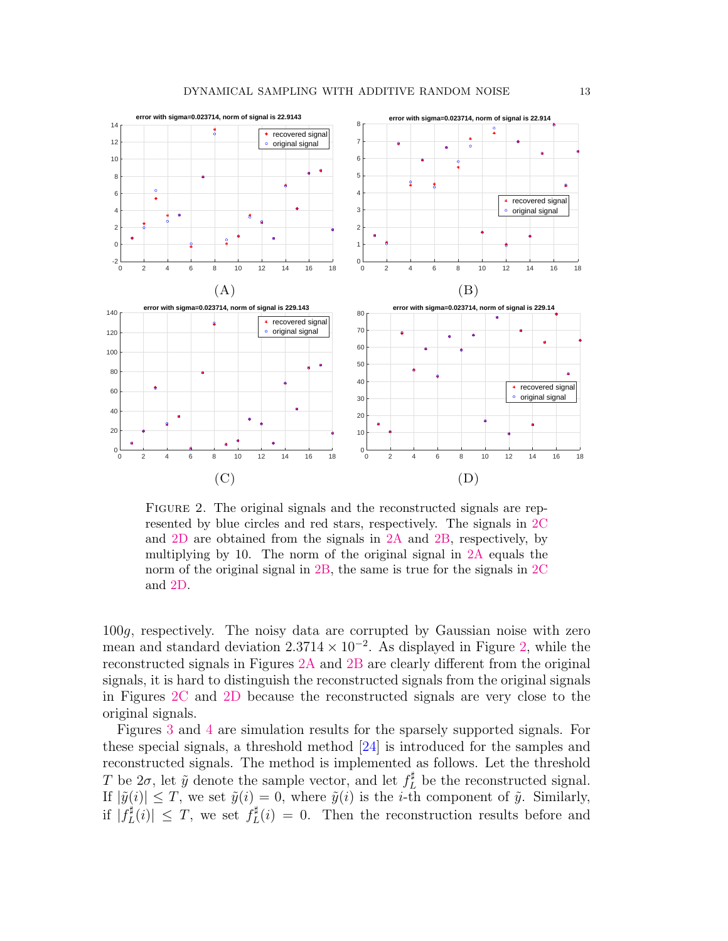<span id="page-12-0"></span>

FIGURE 2. The original signals and the reconstructed signals are represented by blue circles and red stars, respectively. The signals in [2C](#page-12-0) and [2D](#page-12-0) are obtained from the signals in [2A](#page-12-0) and [2B,](#page-12-0) respectively, by multiplying by 10. The norm of the original signal in [2A](#page-12-0) equals the norm of the original signal in [2B,](#page-12-0) the same is true for the signals in [2C](#page-12-0) and [2D.](#page-12-0)

100g, respectively. The noisy data are corrupted by Gaussian noise with zero mean and standard deviation  $2.3714 \times 10^{-2}$ . As displayed in Figure [2,](#page-12-0) while the reconstructed signals in Figures [2A](#page-12-0) and [2B](#page-12-0) are clearly different from the original signals, it is hard to distinguish the reconstructed signals from the original signals in Figures [2C](#page-12-0) and [2D](#page-12-0) because the reconstructed signals are very close to the original signals.

Figures [3](#page-13-0) and [4](#page-13-1) are simulation results for the sparsely supported signals. For these special signals, a threshold method [\[24\]](#page-28-9) is introduced for the samples and reconstructed signals. The method is implemented as follows. Let the threshold T be  $2\sigma$ , let  $\tilde{y}$  denote the sample vector, and let  $f_L^{\sharp}$  be the reconstructed signal. If  $|\tilde{y}(i)| \leq T$ , we set  $\tilde{y}(i) = 0$ , where  $\tilde{y}(i)$  is the *i*-th component of  $\tilde{y}$ . Similarly, if  $|f_I^{\sharp}$  $|L(t)| \leq T$ , we set  $f_L^{\sharp}$  $L(t) = 0$ . Then the reconstruction results before and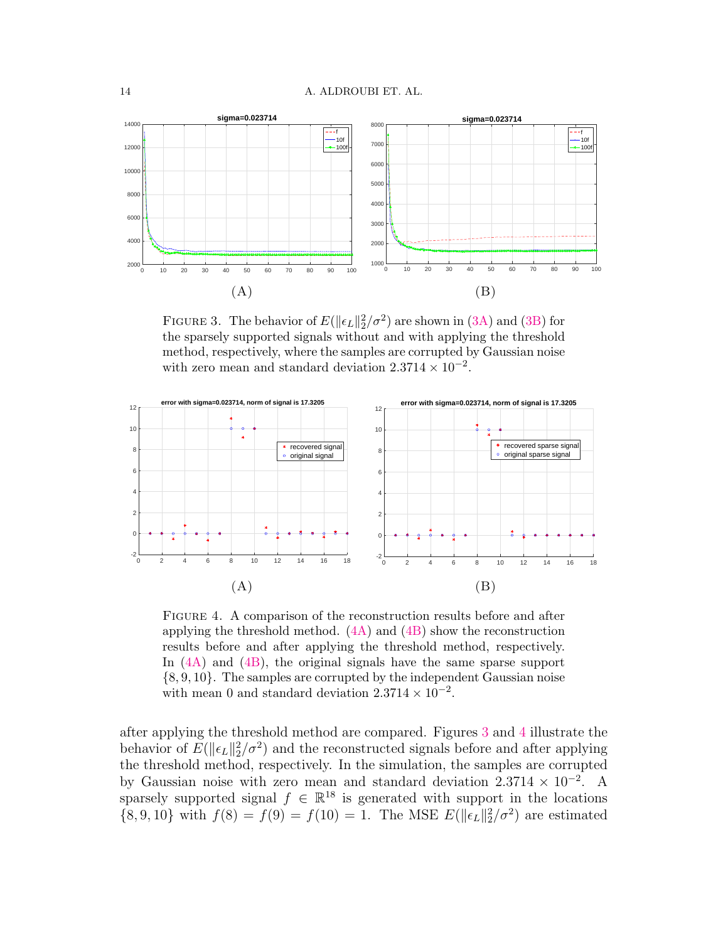<span id="page-13-0"></span>

FIGURE 3. The behavior of  $E(\|\epsilon_L\|_2^2/\sigma^2)$  are shown in [\(3A\)](#page-13-0) and [\(3B\)](#page-13-0) for the sparsely supported signals without and with applying the threshold method, respectively, where the samples are corrupted by Gaussian noise with zero mean and standard deviation  $2.3714 \times 10^{-2}$ .

<span id="page-13-1"></span>

Figure 4. A comparison of the reconstruction results before and after applying the threshold method. [\(4A\)](#page-13-1) and [\(4B\)](#page-13-1) show the reconstruction results before and after applying the threshold method, respectively. In [\(4A\)](#page-13-1) and [\(4B\)](#page-13-1), the original signals have the same sparse support {8, 9, 10}. The samples are corrupted by the independent Gaussian noise with mean 0 and standard deviation  $2.3714 \times 10^{-2}$ .

after applying the threshold method are compared. Figures [3](#page-13-0) and [4](#page-13-1) illustrate the behavior of  $E(\|\epsilon_L\|_2^2/\sigma^2)$  and the reconstructed signals before and after applying the threshold method, respectively. In the simulation, the samples are corrupted by Gaussian noise with zero mean and standard deviation  $2.3714 \times 10^{-2}$ . A sparsely supported signal  $f \in \mathbb{R}^{18}$  is generated with support in the locations  $\{8, 9, 10\}$  with  $f(8) = f(9) = f(10) = 1$ . The MSE  $E(\|\epsilon_L\|_2^2/\sigma^2)$  are estimated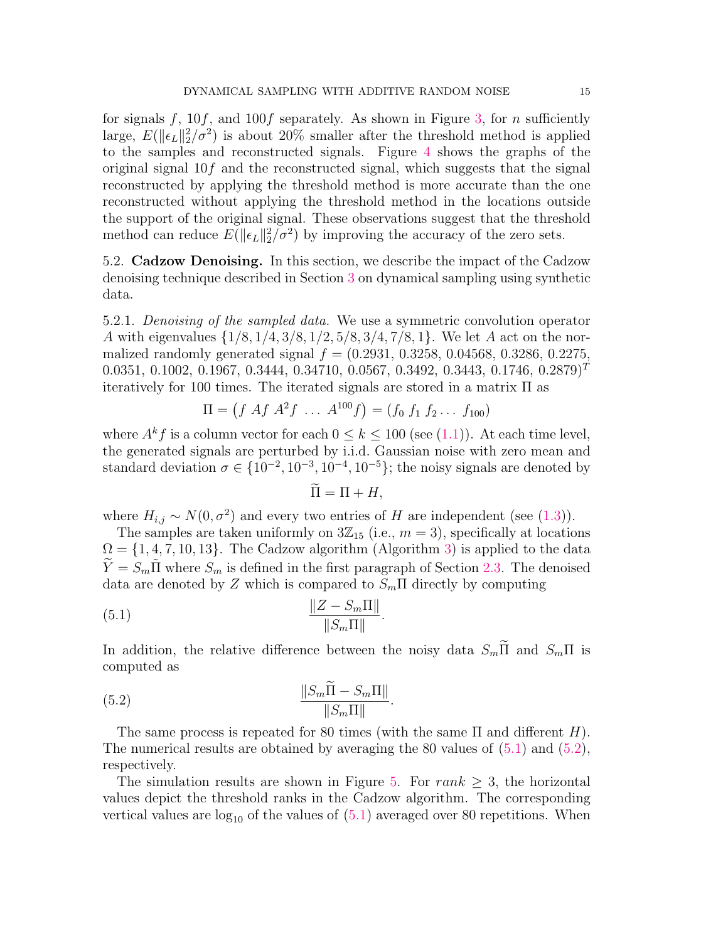for signals f,  $10f$ , and  $100f$  separately. As shown in Figure [3,](#page-13-0) for n sufficiently large,  $E(\|\epsilon_L\|_2^2/\sigma^2)$  is about 20% smaller after the threshold method is applied to the samples and reconstructed signals. Figure [4](#page-13-1) shows the graphs of the original signal  $10f$  and the reconstructed signal, which suggests that the signal reconstructed by applying the threshold method is more accurate than the one reconstructed without applying the threshold method in the locations outside the support of the original signal. These observations suggest that the threshold method can reduce  $E(\|\epsilon_L\|_2^2/\sigma^2)$  by improving the accuracy of the zero sets.

<span id="page-14-0"></span>5.2. Cadzow Denoising. In this section, we describe the impact of the Cadzow denoising technique described in Section [3](#page-6-0) on dynamical sampling using synthetic data.

<span id="page-14-3"></span>5.2.1. Denoising of the sampled data. We use a symmetric convolution operator A with eigenvalues {1/8, 1/4, 3/8, 1/2, 5/8, 3/4, 7/8, 1}. We let A act on the normalized randomly generated signal  $f = (0.2931, 0.3258, 0.04568, 0.3286, 0.2275, 0.04568)$ 0.0351, 0.1002, 0.1967, 0.3444, 0.34710, 0.0567, 0.3492, 0.3443, 0.1746, 0.2879)<sup>T</sup> iteratively for 100 times. The iterated signals are stored in a matrix  $\Pi$  as

$$
\Pi = (f \ Af \ A^2 f \ \dots \ A^{100} f) = (f_0 \ f_1 \ f_2 \dots \ f_{100})
$$

where  $A^k f$  is a column vector for each  $0 \leq k \leq 100$  (see [\(1.1\)](#page-1-2)). At each time level, the generated signals are perturbed by i.i.d. Gaussian noise with zero mean and standard deviation  $\sigma \in \{10^{-2}, 10^{-3}, 10^{-4}, 10^{-5}\}$ ; the noisy signals are denoted by

$$
\Pi = \Pi + H,
$$

where  $H_{i,j} \sim N(0, \sigma^2)$  and every two entries of H are independent (see [\(1.3\)](#page-1-0)).

The samples are taken uniformly on  $3\mathbb{Z}_{15}$  (i.e.,  $m=3$ ), specifically at locations  $\Omega = \{1, 4, 7, 10, 13\}$ . The Cadzow algorithm (Algorithm [3\)](#page-7-0) is applied to the data  $\hat{Y} = S_m \hat{\Pi}$  where  $S_m$  is defined in the first paragraph of Section [2.3.](#page-5-4) The denoised data are denoted by Z which is compared to  $S_m$ II directly by computing

$$
\frac{\|Z - S_m \Pi\|}{\|S_m \Pi\|}
$$

In addition, the relative difference between the noisy data  $S_m \widetilde{\Pi}$  and  $S_m \Pi$  is computed as

<span id="page-14-1"></span>.

<span id="page-14-2"></span>.

$$
\frac{\|S_m \Pi - S_m \Pi\|}{\|S_m \Pi\|}
$$

The same process is repeated for 80 times (with the same  $\Pi$  and different H). The numerical results are obtained by averaging the 80 values of [\(5.1\)](#page-14-1) and [\(5.2\)](#page-14-2), respectively.

The simulation results are shown in Figure [5.](#page-15-0) For  $rank > 3$ , the horizontal values depict the threshold ranks in the Cadzow algorithm. The corresponding vertical values are  $log_{10}$  of the values of  $(5.1)$  averaged over 80 repetitions. When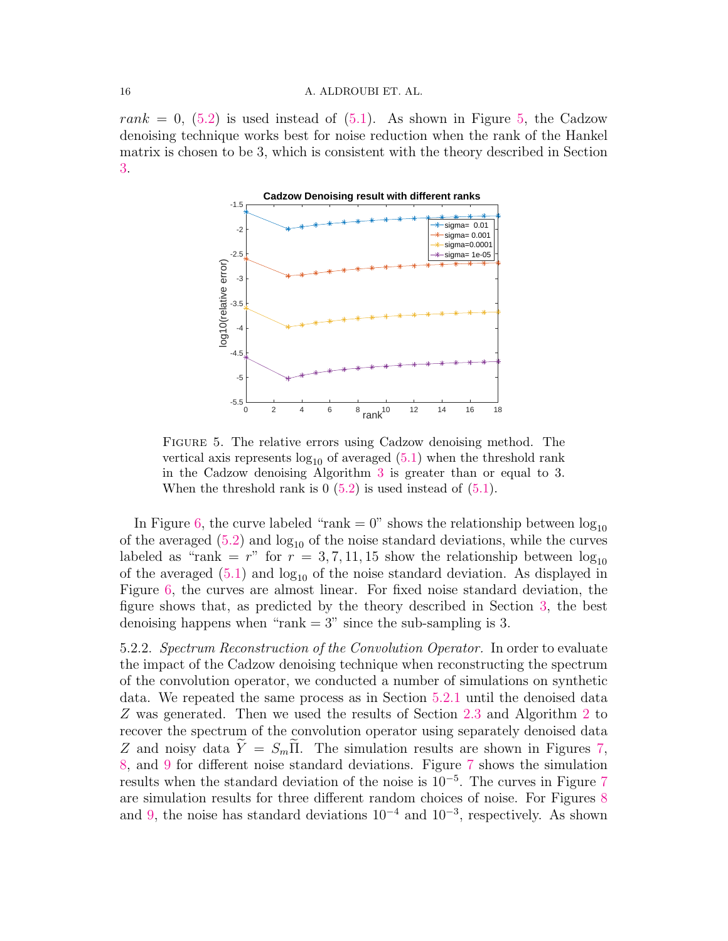<span id="page-15-0"></span>rank = 0,  $(5.2)$  is used instead of  $(5.1)$ . As shown in Figure [5,](#page-15-0) the Cadzow denoising technique works best for noise reduction when the rank of the Hankel matrix is chosen to be 3, which is consistent with the theory described in Section [3.](#page-6-0)



Figure 5. The relative errors using Cadzow denoising method. The vertical axis represents  $log_{10}$  of averaged  $(5.1)$  when the threshold rank in the Cadzow denoising Algorithm [3](#page-7-0) is greater than or equal to 3. When the threshold rank is  $0(5.2)$  $0(5.2)$  is used instead of  $(5.1)$ .

In Figure [6,](#page-16-1) the curve labeled "rank  $= 0$ " shows the relationship between  $log_{10}$ of the averaged  $(5.2)$  and  $\log_{10}$  of the noise standard deviations, while the curves labeled as "rank = r" for  $r = 3, 7, 11, 15$  show the relationship between  $log_{10}$ of the averaged  $(5.1)$  and  $log_{10}$  of the noise standard deviation. As displayed in Figure [6,](#page-16-1) the curves are almost linear. For fixed noise standard deviation, the figure shows that, as predicted by the theory described in Section [3,](#page-6-0) the best denoising happens when "rank  $= 3$ " since the sub-sampling is 3.

5.2.2. Spectrum Reconstruction of the Convolution Operator. In order to evaluate the impact of the Cadzow denoising technique when reconstructing the spectrum of the convolution operator, we conducted a number of simulations on synthetic data. We repeated the same process as in Section [5.2.1](#page-14-3) until the denoised data Z was generated. Then we used the results of Section [2.3](#page-5-4) and Algorithm [2](#page-6-1) to recover the spectrum of the convolution operator using separately denoised data Z and noisy data  $\tilde{Y} = S_m \tilde{\Pi}$ . The simulation results are shown in Figures [7,](#page-17-0) [8,](#page-18-0) and [9](#page-19-0) for different noise standard deviations. Figure [7](#page-17-0) shows the simulation results when the standard deviation of the noise is 10<sup>−</sup><sup>5</sup> . The curves in Figure [7](#page-17-0) are simulation results for three different random choices of noise. For Figures [8](#page-18-0) and [9,](#page-19-0) the noise has standard deviations  $10^{-4}$  and  $10^{-3}$ , respectively. As shown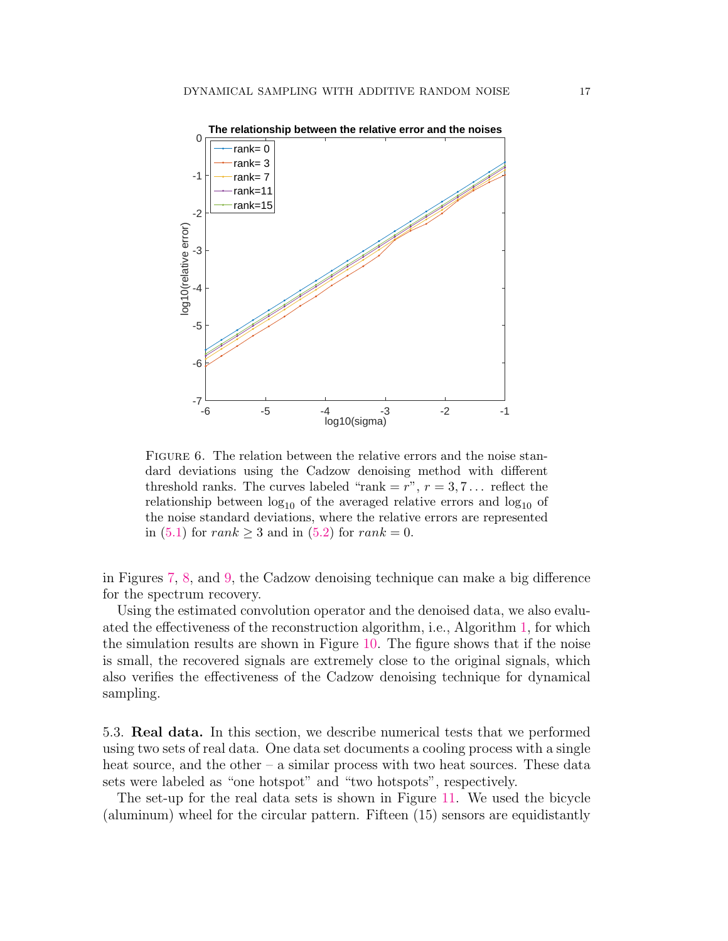<span id="page-16-1"></span>

FIGURE 6. The relation between the relative errors and the noise standard deviations using the Cadzow denoising method with different threshold ranks. The curves labeled "rank  $=r$ ",  $r=3,7...$  reflect the relationship between  $log_{10}$  of the averaged relative errors and  $log_{10}$  of the noise standard deviations, where the relative errors are represented in [\(5.1\)](#page-14-1) for  $rank \geq 3$  and in [\(5.2\)](#page-14-2) for  $rank = 0$ .

in Figures [7,](#page-17-0) [8,](#page-18-0) and [9,](#page-19-0) the Cadzow denoising technique can make a big difference for the spectrum recovery.

Using the estimated convolution operator and the denoised data, we also evaluated the effectiveness of the reconstruction algorithm, i.e., Algorithm [1,](#page-4-0) for which the simulation results are shown in Figure [10.](#page-20-0) The figure shows that if the noise is small, the recovered signals are extremely close to the original signals, which also verifies the effectiveness of the Cadzow denoising technique for dynamical sampling.

<span id="page-16-0"></span>5.3. Real data. In this section, we describe numerical tests that we performed using two sets of real data. One data set documents a cooling process with a single heat source, and the other – a similar process with two heat sources. These data sets were labeled as "one hotspot" and "two hotspots", respectively.

The set-up for the real data sets is shown in Figure [11.](#page-21-0) We used the bicycle (aluminum) wheel for the circular pattern. Fifteen (15) sensors are equidistantly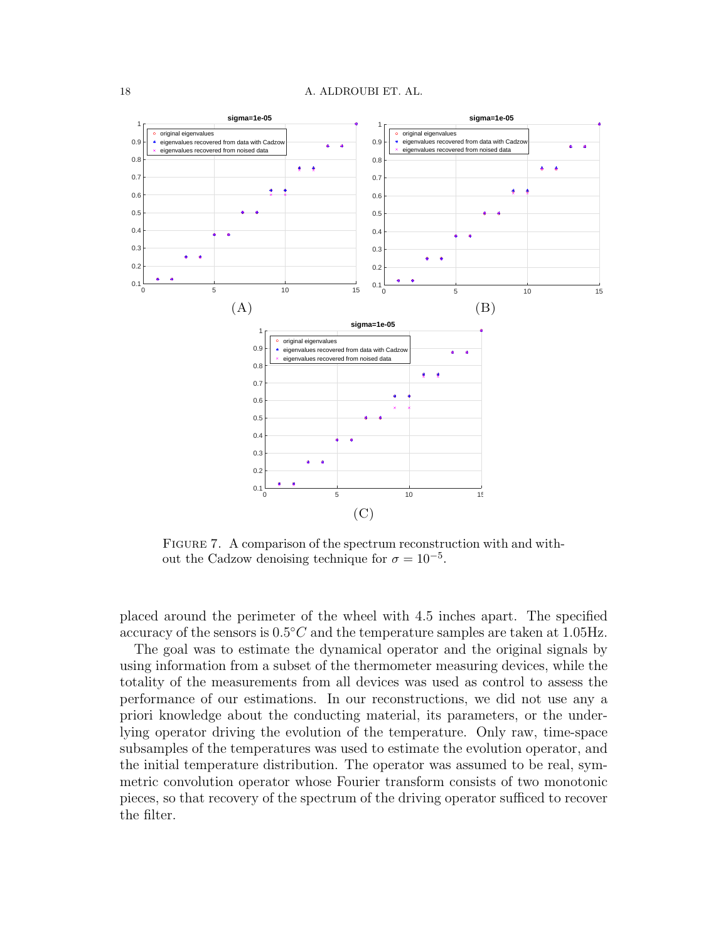<span id="page-17-0"></span>

FIGURE 7. A comparison of the spectrum reconstruction with and without the Cadzow denoising technique for  $\sigma = 10^{-5}$ .

placed around the perimeter of the wheel with 4.5 inches apart. The specified accuracy of the sensors is  $0.5^{\circ}$ C and the temperature samples are taken at 1.05Hz.

The goal was to estimate the dynamical operator and the original signals by using information from a subset of the thermometer measuring devices, while the totality of the measurements from all devices was used as control to assess the performance of our estimations. In our reconstructions, we did not use any a priori knowledge about the conducting material, its parameters, or the underlying operator driving the evolution of the temperature. Only raw, time-space subsamples of the temperatures was used to estimate the evolution operator, and the initial temperature distribution. The operator was assumed to be real, symmetric convolution operator whose Fourier transform consists of two monotonic pieces, so that recovery of the spectrum of the driving operator sufficed to recover the filter.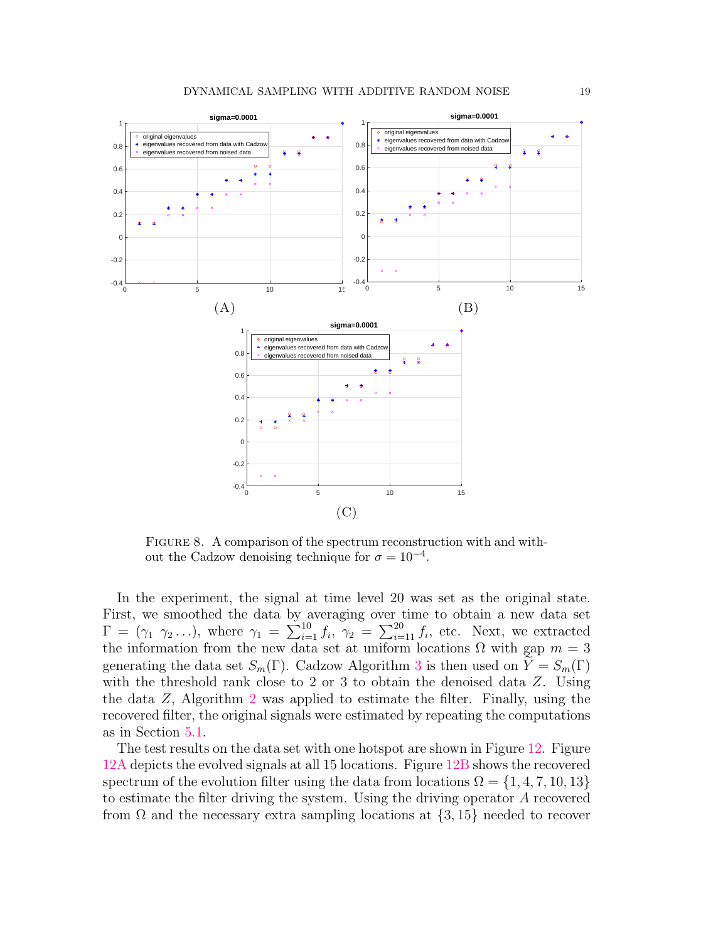<span id="page-18-0"></span>

FIGURE 8. A comparison of the spectrum reconstruction with and without the Cadzow denoising technique for  $\sigma = 10^{-4}$ .

In the experiment, the signal at time level 20 was set as the original state. First, we smoothed the data by averaging over time to obtain a new data set  $\Gamma = (\gamma_1 \gamma_2 \ldots),$  where  $\gamma_1 = \sum_{i=1}^{10} f_i$ ,  $\gamma_2 = \sum_{i=11}^{20} f_i$ , etc. Next, we extracted the information from the new data set at uniform locations  $\Omega$  with gap  $m = 3$ generating the data set  $S_m(\Gamma)$ . Cadzow Algorithm [3](#page-7-0) is then used on  $\hat{Y} = S_m(\Gamma)$ with the threshold rank close to 2 or 3 to obtain the denoised data Z. Using the data Z, Algorithm [2](#page-6-1) was applied to estimate the filter. Finally, using the recovered filter, the original signals were estimated by repeating the computations as in Section [5.1.](#page-10-1)

The test results on the data set with one hotspot are shown in Figure [12.](#page-22-0) Figure [12A](#page-22-0) depicts the evolved signals at all 15 locations. Figure [12B](#page-22-0) shows the recovered spectrum of the evolution filter using the data from locations  $\Omega = \{1, 4, 7, 10, 13\}$ to estimate the filter driving the system. Using the driving operator A recovered from  $\Omega$  and the necessary extra sampling locations at  $\{3, 15\}$  needed to recover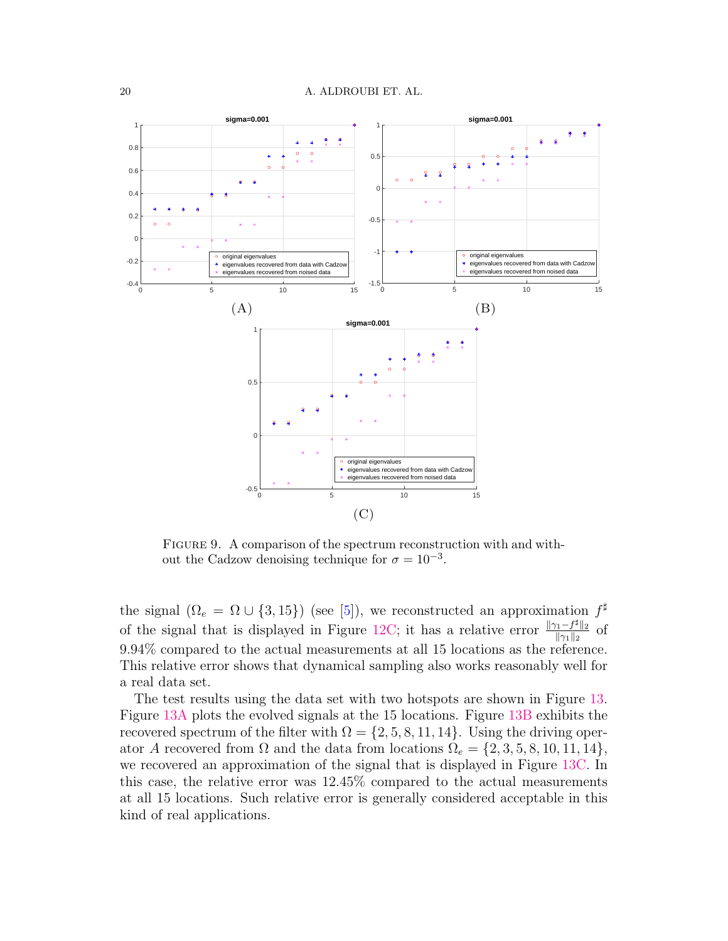<span id="page-19-0"></span>

FIGURE 9. A comparison of the spectrum reconstruction with and without the Cadzow denoising technique for  $\sigma = 10^{-3}$ .

the signal  $(\Omega_e = \Omega \cup \{3, 15\})$  (see [\[5\]](#page-27-0)), we reconstructed an approximation  $f^{\sharp}$ of the signal that is displayed in Figure [12C;](#page-22-0) it has a relative error  $\frac{\|\gamma_1 - f^{\sharp}\|_2}{\|\gamma_2\|_2}$  $\frac{\frac{1}{1} - J^*\|_2}{\|\gamma_1\|_2}$  of 9.94% compared to the actual measurements at all 15 locations as the reference. This relative error shows that dynamical sampling also works reasonably well for a real data set.

The test results using the data set with two hotspots are shown in Figure [13.](#page-23-0) Figure [13A](#page-23-0) plots the evolved signals at the 15 locations. Figure [13B](#page-23-0) exhibits the recovered spectrum of the filter with  $\Omega = \{2, 5, 8, 11, 14\}$ . Using the driving operator A recovered from  $\Omega$  and the data from locations  $\Omega_e = \{2, 3, 5, 8, 10, 11, 14\},\$ we recovered an approximation of the signal that is displayed in Figure [13C.](#page-23-0) In this case, the relative error was 12.45% compared to the actual measurements at all 15 locations. Such relative error is generally considered acceptable in this kind of real applications.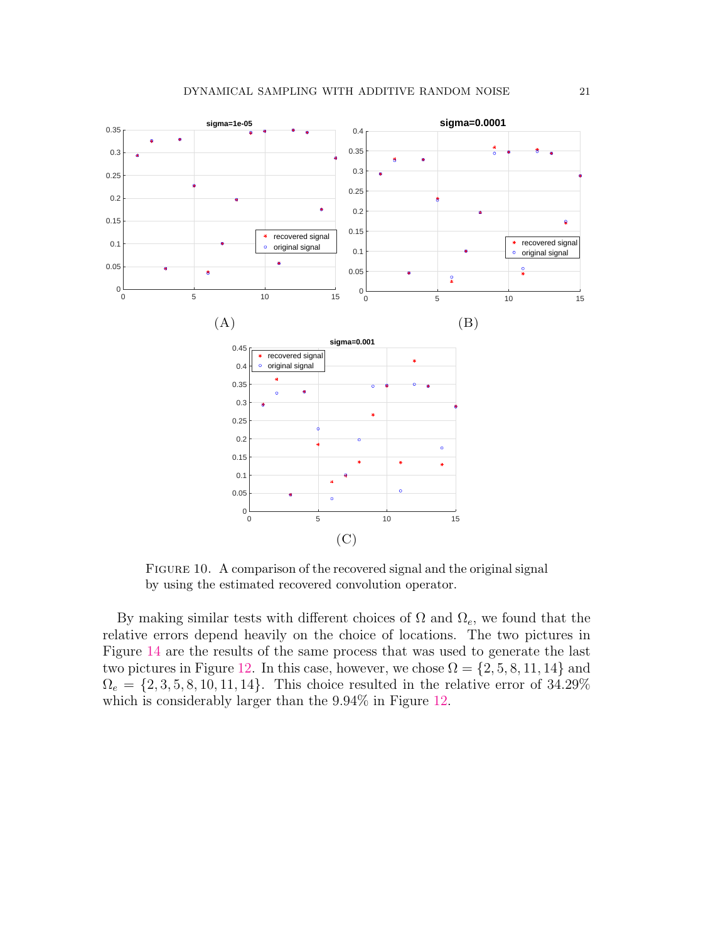<span id="page-20-0"></span>

Figure 10. A comparison of the recovered signal and the original signal by using the estimated recovered convolution operator.

By making similar tests with different choices of  $\Omega$  and  $\Omega_e$ , we found that the relative errors depend heavily on the choice of locations. The two pictures in Figure [14](#page-24-0) are the results of the same process that was used to generate the last two pictures in Figure [12.](#page-22-0) In this case, however, we chose  $\Omega = \{2, 5, 8, 11, 14\}$  and  $\Omega_e = \{2, 3, 5, 8, 10, 11, 14\}.$  This choice resulted in the relative error of 34.29% which is considerably larger than the 9.94% in Figure [12.](#page-22-0)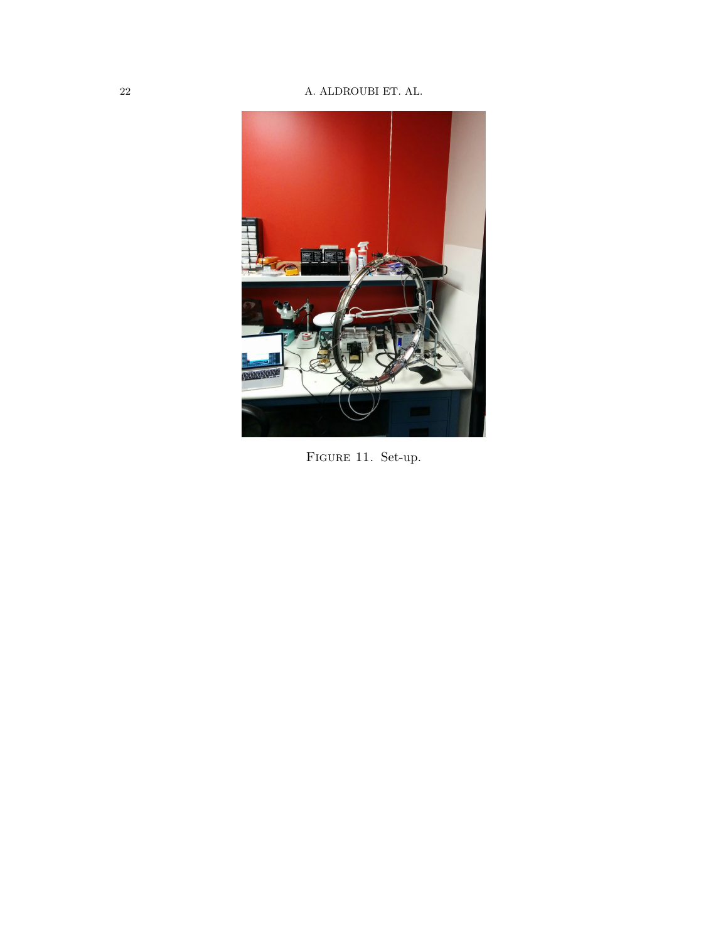# <span id="page-21-0"></span> $\,$  22  $\,$   $\,$  A. ALDROUBI ET. AL.



FIGURE 11. Set-up.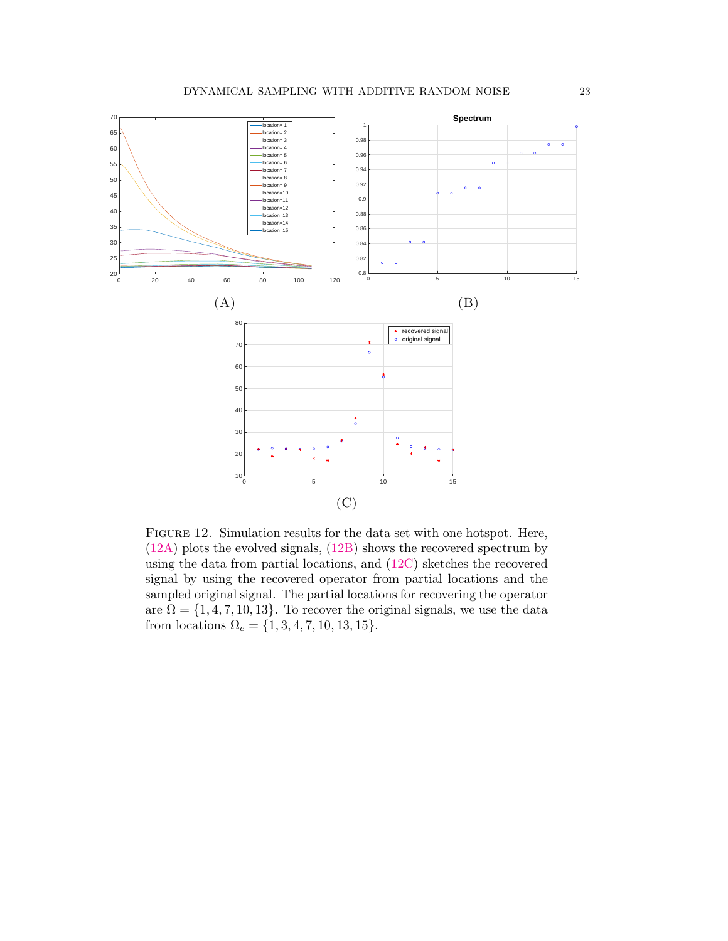<span id="page-22-0"></span>

Figure 12. Simulation results for the data set with one hotspot. Here, [\(12A\)](#page-22-0) plots the evolved signals, [\(12B\)](#page-22-0) shows the recovered spectrum by using the data from partial locations, and [\(12C\)](#page-22-0) sketches the recovered signal by using the recovered operator from partial locations and the sampled original signal. The partial locations for recovering the operator are  $\Omega = \{1, 4, 7, 10, 13\}$ . To recover the original signals, we use the data from locations  $\Omega_e = \{1, 3, 4, 7, 10, 13, 15\}.$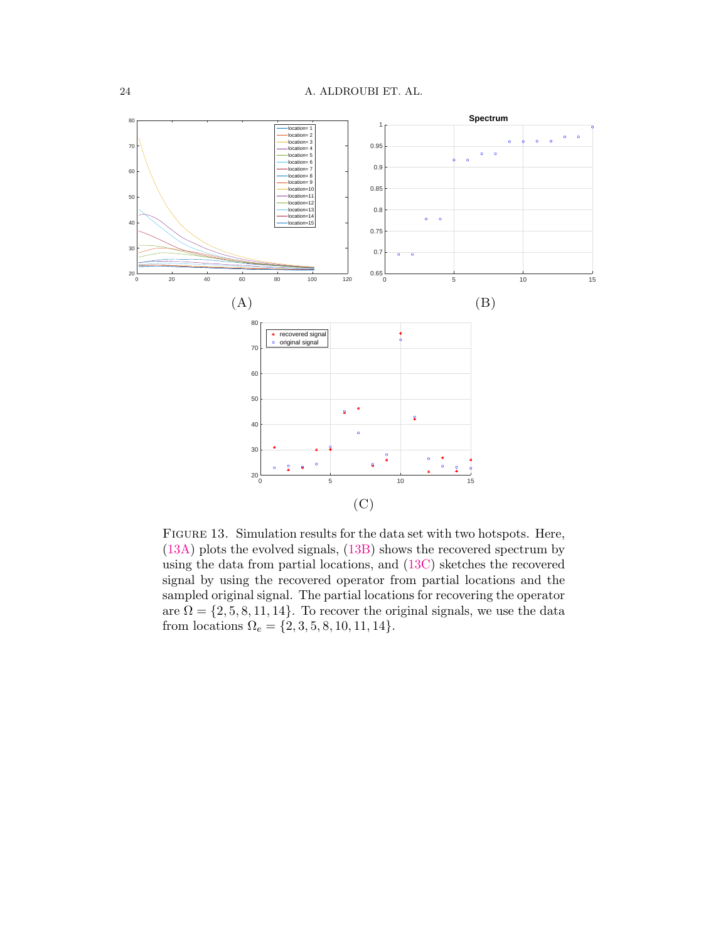<span id="page-23-0"></span>

Figure 13. Simulation results for the data set with two hotspots. Here, [\(13A\)](#page-23-0) plots the evolved signals, [\(13B\)](#page-23-0) shows the recovered spectrum by using the data from partial locations, and [\(13C\)](#page-23-0) sketches the recovered signal by using the recovered operator from partial locations and the sampled original signal. The partial locations for recovering the operator are  $\Omega = \{2, 5, 8, 11, 14\}$ . To recover the original signals, we use the data from locations  $\Omega_e = \{2, 3, 5, 8, 10, 11, 14\}.$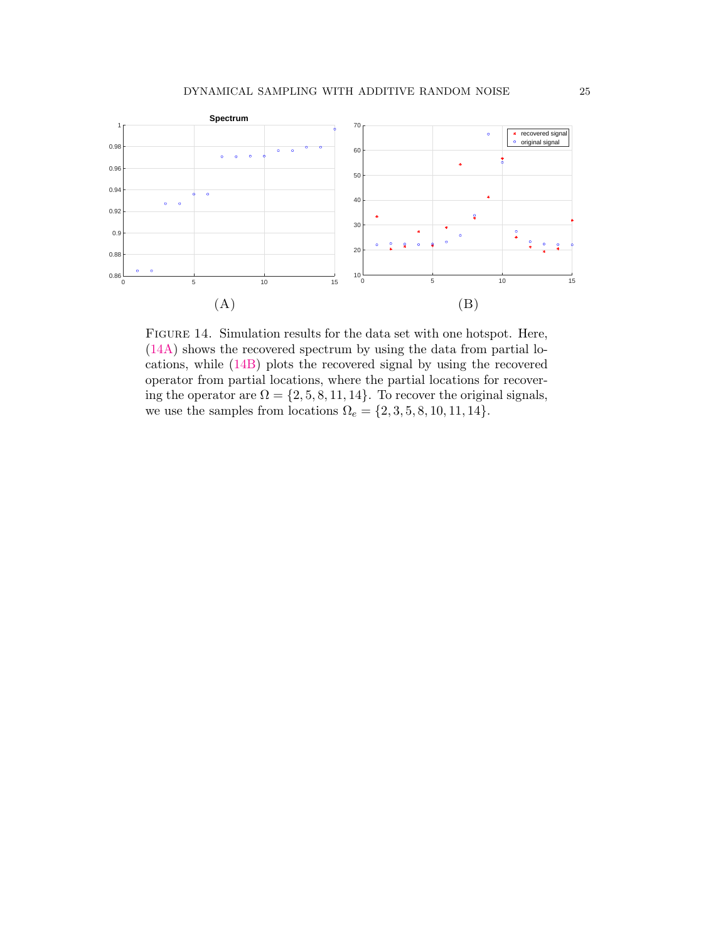<span id="page-24-0"></span>

Figure 14. Simulation results for the data set with one hotspot. Here, [\(14A\)](#page-24-0) shows the recovered spectrum by using the data from partial locations, while [\(14B\)](#page-24-0) plots the recovered signal by using the recovered operator from partial locations, where the partial locations for recovering the operator are  $\Omega = \{2, 5, 8, 11, 14\}$ . To recover the original signals, we use the samples from locations  $\Omega_e = \{2, 3, 5, 8, 10, 11, 14\}.$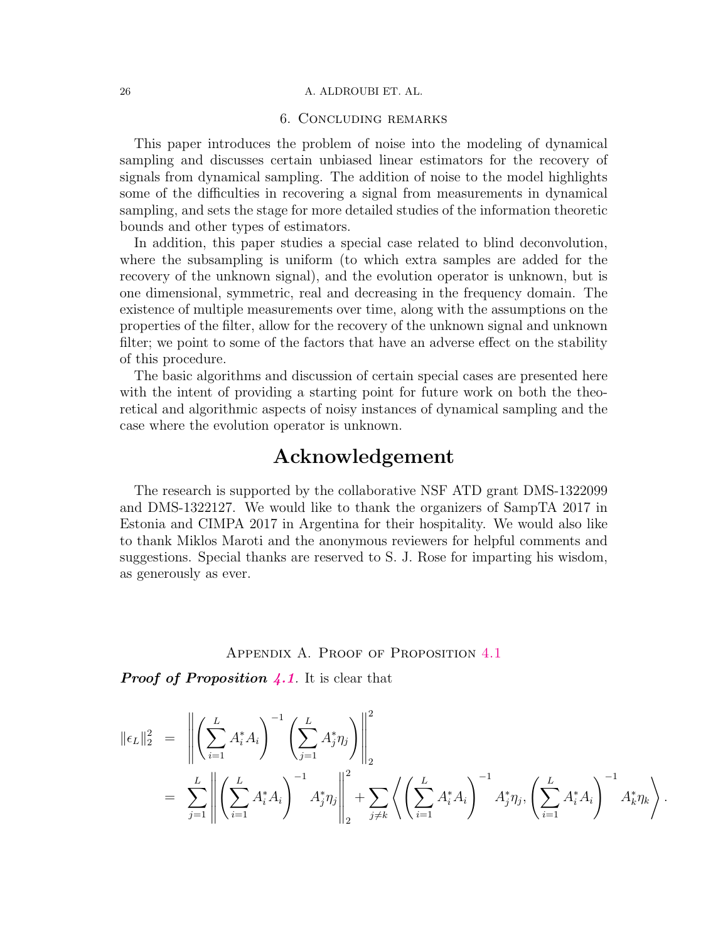# 6. Concluding remarks

This paper introduces the problem of noise into the modeling of dynamical sampling and discusses certain unbiased linear estimators for the recovery of signals from dynamical sampling. The addition of noise to the model highlights some of the difficulties in recovering a signal from measurements in dynamical sampling, and sets the stage for more detailed studies of the information theoretic bounds and other types of estimators.

In addition, this paper studies a special case related to blind deconvolution, where the subsampling is uniform (to which extra samples are added for the recovery of the unknown signal), and the evolution operator is unknown, but is one dimensional, symmetric, real and decreasing in the frequency domain. The existence of multiple measurements over time, along with the assumptions on the properties of the filter, allow for the recovery of the unknown signal and unknown filter; we point to some of the factors that have an adverse effect on the stability of this procedure.

The basic algorithms and discussion of certain special cases are presented here with the intent of providing a starting point for future work on both the theoretical and algorithmic aspects of noisy instances of dynamical sampling and the case where the evolution operator is unknown.

# Acknowledgement

The research is supported by the collaborative NSF ATD grant DMS-1322099 and DMS-1322127. We would like to thank the organizers of SampTA 2017 in Estonia and CIMPA 2017 in Argentina for their hospitality. We would also like to thank Miklos Maroti and the anonymous reviewers for helpful comments and suggestions. Special thanks are reserved to S. J. Rose for imparting his wisdom, as generously as ever.

# Appendix A. Proof of Proposition [4.1](#page-8-4)

**Proof of Proposition [4.1](#page-8-4).** It is clear that

$$
\|\epsilon_L\|_2^2 = \left\| \left( \sum_{i=1}^L A_i^* A_i \right)^{-1} \left( \sum_{j=1}^L A_j^* \eta_j \right) \right\|_2^2
$$
  

$$
= \sum_{j=1}^L \left\| \left( \sum_{i=1}^L A_i^* A_i \right)^{-1} A_j^* \eta_j \right\|_2^2 + \sum_{j \neq k} \left\langle \left( \sum_{i=1}^L A_i^* A_i \right)^{-1} A_j^* \eta_j, \left( \sum_{i=1}^L A_i^* A_i \right)^{-1} A_k^* \eta_k \right\rangle
$$

.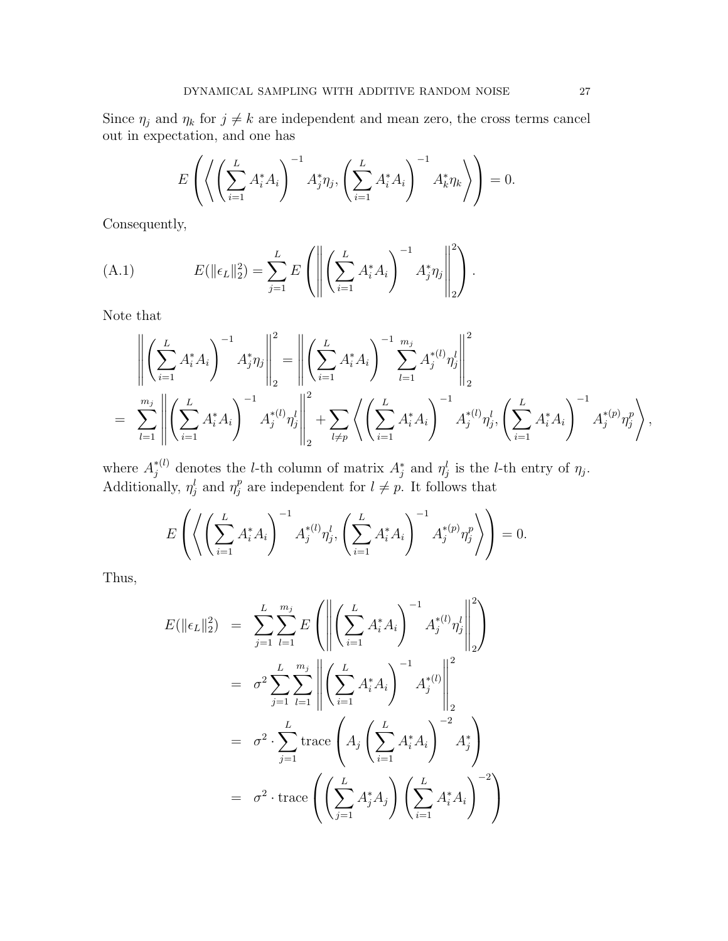Since  $\eta_j$  and  $\eta_k$  for  $j \neq k$  are independent and mean zero, the cross terms cancel out in expectation, and one has

$$
E\left(\left\langle \left(\sum_{i=1}^L A_i^* A_i\right)^{-1} A_j^* \eta_j, \left(\sum_{i=1}^L A_i^* A_i\right)^{-1} A_k^* \eta_k \right\rangle\right) = 0.
$$

Consequently,

(A.1) 
$$
E(\|\epsilon_L\|_2^2) = \sum_{j=1}^L E\left(\left\|\left(\sum_{i=1}^L A_i^* A_i\right)^{-1} A_j^* \eta_j\right\|_2^2\right).
$$

Note that

$$
\left\| \left( \sum_{i=1}^{L} A_i^* A_i \right)^{-1} A_j^* \eta_j \right\|_2^2 = \left\| \left( \sum_{i=1}^{L} A_i^* A_i \right)^{-1} \sum_{l=1}^{m_j} A_j^{*(l)} \eta_j^l \right\|_2^2
$$
  
= 
$$
\sum_{l=1}^{m_j} \left\| \left( \sum_{i=1}^{L} A_i^* A_i \right)^{-1} A_j^{*(l)} \eta_j^l \right\|_2^2 + \sum_{l \neq p} \left\langle \left( \sum_{i=1}^{L} A_i^* A_i \right)^{-1} A_j^{*(l)} \eta_j^l, \left( \sum_{i=1}^{L} A_i^* A_i \right)^{-1} A_j^{*(p)} \eta_j^p \right\rangle,
$$

where  $A_j^{*(l)}$  denotes the *l*-th column of matrix  $A_j^*$  and  $\eta_j^l$  is the *l*-th entry of  $\eta_j$ . Additionally,  $\eta_j^l$  and  $\eta_j^p$  $_j^p$  are independent for  $l \neq p$ . It follows that

$$
E\left(\left\langle \left(\sum_{i=1}^{L} A_i^* A_i\right)^{-1} A_j^{*(l)} \eta_j^l, \left(\sum_{i=1}^{L} A_i^* A_i\right)^{-1} A_j^{*(p)} \eta_j^p \right\rangle\right) = 0.
$$

Thus,

$$
E(\|\epsilon_L\|_2^2) = \sum_{j=1}^L \sum_{l=1}^{m_j} E\left(\left\|\left(\sum_{i=1}^L A_i^* A_i\right)^{-1} A_j^{*(l)} \eta_j^l\right\|_2^2\right)
$$
  

$$
= \sigma^2 \sum_{j=1}^L \sum_{l=1}^{m_j} \left\|\left(\sum_{i=1}^L A_i^* A_i\right)^{-1} A_j^{*(l)}\right\|_2^2
$$
  

$$
= \sigma^2 \cdot \sum_{j=1}^L \operatorname{trace}\left(A_j \left(\sum_{i=1}^L A_i^* A_i\right)^{-2} A_j^*\right)
$$
  

$$
= \sigma^2 \cdot \operatorname{trace}\left(\left(\sum_{j=1}^L A_j^* A_j\right) \left(\sum_{i=1}^L A_i^* A_i\right)^{-2}\right)
$$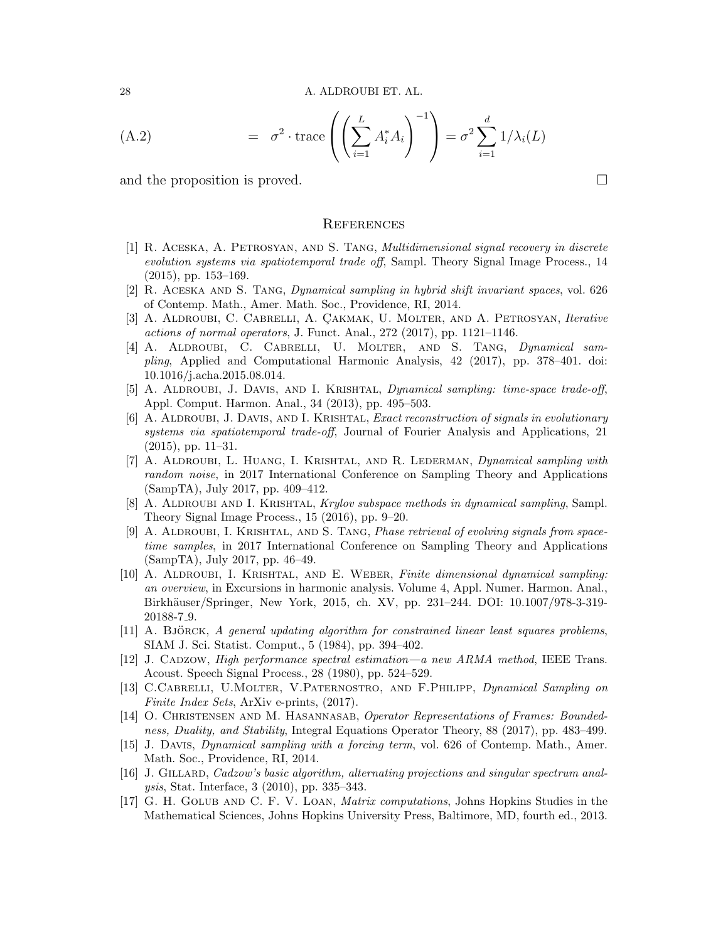(A.2) = 
$$
\sigma^2 \cdot \text{trace}\left(\left(\sum_{i=1}^L A_i^* A_i\right)^{-1}\right) = \sigma^2 \sum_{i=1}^d 1/\lambda_i(L)
$$

and the proposition is proved.

#### **REFERENCES**

- <span id="page-27-1"></span>[1] R. Aceska, A. Petrosyan, and S. Tang, Multidimensional signal recovery in discrete evolution systems via spatiotemporal trade off, Sampl. Theory Signal Image Process., 14 (2015), pp. 153–169.
- <span id="page-27-2"></span>[2] R. Aceska and S. Tang, Dynamical sampling in hybrid shift invariant spaces, vol. 626 of Contemp. Math., Amer. Math. Soc., Providence, RI, 2014.
- <span id="page-27-3"></span>[3] A. ALDROUBI, C. CABRELLI, A. ÇAKMAK, U. MOLTER, AND A. PETROSYAN, Iterative actions of normal operators, J. Funct. Anal., 272 (2017), pp. 1121–1146.
- <span id="page-27-4"></span>[4] A. Aldroubi, C. Cabrelli, U. Molter, and S. Tang, Dynamical sampling, Applied and Computational Harmonic Analysis, 42 (2017), pp. 378–401. doi: 10.1016/j.acha.2015.08.014.
- <span id="page-27-0"></span>[5] A. ALDROUBI, J. DAVIS, AND I. KRISHTAL, *Dynamical sampling: time-space trade-off*, Appl. Comput. Harmon. Anal., 34 (2013), pp. 495–503.
- <span id="page-27-5"></span>[6] A. ALDROUBI, J. DAVIS, AND I. KRISHTAL, *Exact reconstruction of signals in evolutionary* systems via spatiotemporal trade-off, Journal of Fourier Analysis and Applications, 21 (2015), pp. 11–31.
- <span id="page-27-12"></span>[7] A. Aldroubi, L. Huang, I. Krishtal, and R. Lederman, Dynamical sampling with random noise, in 2017 International Conference on Sampling Theory and Applications (SampTA), July 2017, pp. 409–412.
- <span id="page-27-6"></span>[8] A. ALDROUBI AND I. KRISHTAL, Krylov subspace methods in dynamical sampling, Sampl. Theory Signal Image Process., 15 (2016), pp. 9–20.
- <span id="page-27-7"></span>[9] A. Aldroubi, I. Krishtal, and S. Tang, Phase retrieval of evolving signals from spacetime samples, in 2017 International Conference on Sampling Theory and Applications (SampTA), July 2017, pp. 46–49.
- <span id="page-27-8"></span>[10] A. ALDROUBI, I. KRISHTAL, AND E. WEBER, Finite dimensional dynamical sampling: an overview, in Excursions in harmonic analysis. Volume 4, Appl. Numer. Harmon. Anal., Birkh¨auser/Springer, New York, 2015, ch. XV, pp. 231–244. DOI: 10.1007/978-3-319- 20188-7 9.
- <span id="page-27-15"></span> $[11]$  A. Björck, A general updating algorithm for constrained linear least squares problems, SIAM J. Sci. Statist. Comput., 5 (1984), pp. 394–402.
- <span id="page-27-13"></span>[12] J. CADZOW, High performance spectral estimation—a new ARMA method, IEEE Trans. Acoust. Speech Signal Process., 28 (1980), pp. 524–529.
- <span id="page-27-9"></span>[13] C.Cabrelli, U.Molter, V.Paternostro, and F.Philipp, Dynamical Sampling on Finite Index Sets, ArXiv e-prints,  $(2017)$ .
- <span id="page-27-10"></span>[14] O. CHRISTENSEN AND M. HASANNASAB, Operator Representations of Frames: Boundedness, Duality, and Stability, Integral Equations Operator Theory, 88 (2017), pp. 483–499.
- <span id="page-27-11"></span>[15] J. Davis, Dynamical sampling with a forcing term, vol. 626 of Contemp. Math., Amer. Math. Soc., Providence, RI, 2014.
- <span id="page-27-14"></span>[16] J. GILLARD, Cadzow's basic algorithm, alternating projections and singular spectrum analysis, Stat. Interface, 3 (2010), pp. 335–343.
- <span id="page-27-16"></span>[17] G. H. Golub and C. F. V. Loan, Matrix computations, Johns Hopkins Studies in the Mathematical Sciences, Johns Hopkins University Press, Baltimore, MD, fourth ed., 2013.